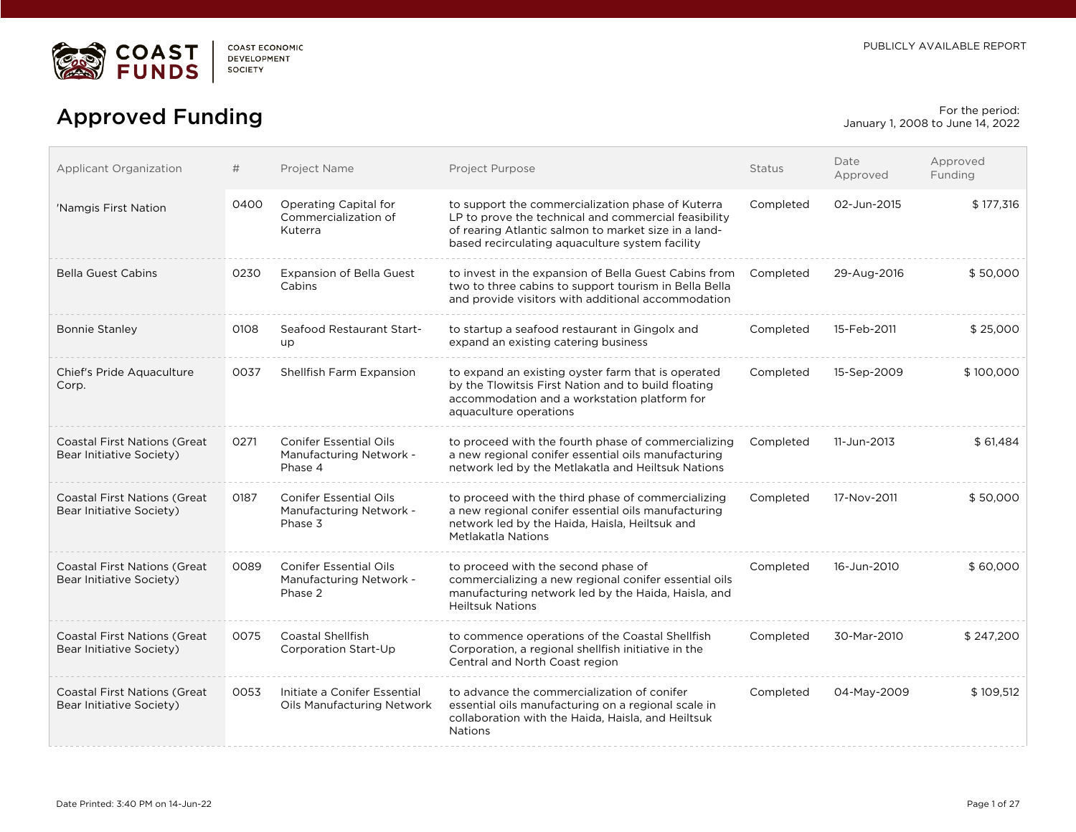

# For the period:<br>
Approved Funding Forms and the period:<br>
anuary 1, 2008 to June 14, 2022

January 1, 2008 to June 14, 2022

| Applicant Organization                                           | #    | Project Name                                                        | Project Purpose                                                                                                                                                                                                      | <b>Status</b> | Date<br>Approved | Approved<br>Funding |
|------------------------------------------------------------------|------|---------------------------------------------------------------------|----------------------------------------------------------------------------------------------------------------------------------------------------------------------------------------------------------------------|---------------|------------------|---------------------|
| 'Namgis First Nation                                             | 0400 | Operating Capital for<br>Commercialization of<br>Kuterra            | to support the commercialization phase of Kuterra<br>LP to prove the technical and commercial feasibility<br>of rearing Atlantic salmon to market size in a land-<br>based recirculating aquaculture system facility | Completed     | 02-Jun-2015      | \$177,316           |
| <b>Bella Guest Cabins</b>                                        | 0230 | <b>Expansion of Bella Guest</b><br>Cabins                           | to invest in the expansion of Bella Guest Cabins from<br>two to three cabins to support tourism in Bella Bella<br>and provide visitors with additional accommodation                                                 | Completed     | 29-Aug-2016      | \$50,000            |
| <b>Bonnie Stanley</b>                                            | 0108 | Seafood Restaurant Start-<br>up                                     | to startup a seafood restaurant in Gingolx and<br>expand an existing catering business                                                                                                                               | Completed     | 15-Feb-2011      | \$25,000            |
| Chief's Pride Aquaculture<br>Corp.                               | 0037 | Shellfish Farm Expansion                                            | to expand an existing oyster farm that is operated<br>by the Tlowitsis First Nation and to build floating<br>accommodation and a workstation platform for<br>aquaculture operations                                  | Completed     | 15-Sep-2009      | \$100,000           |
| <b>Coastal First Nations (Great</b><br>Bear Initiative Society)  | 0271 | <b>Conifer Essential Oils</b><br>Manufacturing Network -<br>Phase 4 | to proceed with the fourth phase of commercializing<br>a new regional conifer essential oils manufacturing<br>network led by the Metlakatla and Heiltsuk Nations                                                     | Completed     | 11-Jun-2013      | \$61,484            |
| <b>Coastal First Nations (Great</b><br>Bear Initiative Society)  | 0187 | <b>Conifer Essential Oils</b><br>Manufacturing Network -<br>Phase 3 | to proceed with the third phase of commercializing<br>a new regional conifer essential oils manufacturing<br>network led by the Haida, Haisla, Heiltsuk and<br>Metlakatla Nations                                    | Completed     | 17-Nov-2011      | \$50,000            |
| Coastal First Nations (Great<br>Bear Initiative Society)         | 0089 | <b>Conifer Essential Oils</b><br>Manufacturing Network -<br>Phase 2 | to proceed with the second phase of<br>commercializing a new regional conifer essential oils<br>manufacturing network led by the Haida, Haisla, and<br><b>Heiltsuk Nations</b>                                       | Completed     | 16-Jun-2010      | \$60,000            |
| <b>Coastal First Nations (Great)</b><br>Bear Initiative Society) | 0075 | <b>Coastal Shellfish</b><br>Corporation Start-Up                    | to commence operations of the Coastal Shellfish<br>Corporation, a regional shellfish initiative in the<br>Central and North Coast region                                                                             | Completed     | 30-Mar-2010      | \$247,200           |
| <b>Coastal First Nations (Great</b><br>Bear Initiative Society)  | 0053 | Initiate a Conifer Essential<br>Oils Manufacturing Network          | to advance the commercialization of conifer<br>essential oils manufacturing on a regional scale in<br>collaboration with the Haida, Haisla, and Heiltsuk<br><b>Nations</b>                                           | Completed     | 04-May-2009      | \$109.512           |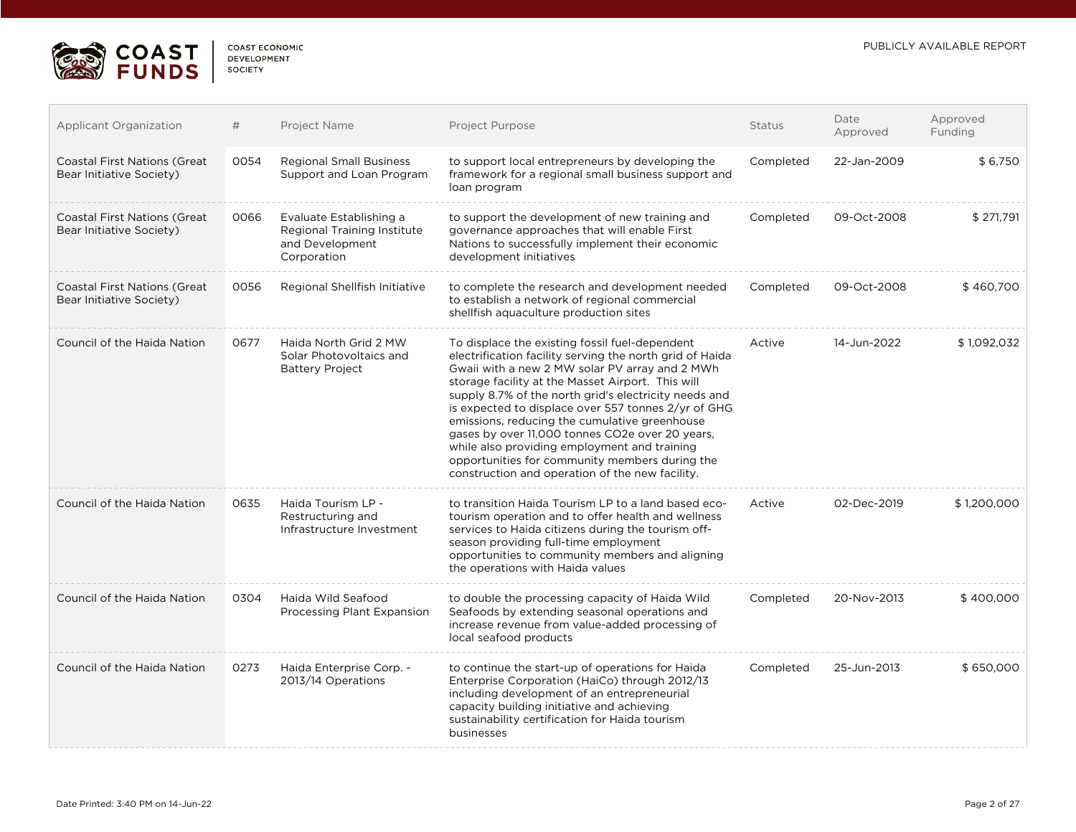

| <b>DEVELOPMENT</b> |  |
|--------------------|--|
| <b>SOCIETY</b>     |  |

| <b>Applicant Organization</b>                                   | #    | Project Name                                                                             | Project Purpose                                                                                                                                                                                                                                                                                                                                                                                                                                                                                                                                                                            | Status    | Date<br>Approved | Approved<br>Funding |
|-----------------------------------------------------------------|------|------------------------------------------------------------------------------------------|--------------------------------------------------------------------------------------------------------------------------------------------------------------------------------------------------------------------------------------------------------------------------------------------------------------------------------------------------------------------------------------------------------------------------------------------------------------------------------------------------------------------------------------------------------------------------------------------|-----------|------------------|---------------------|
| <b>Coastal First Nations (Great</b><br>Bear Initiative Society) | 0054 | <b>Regional Small Business</b><br>Support and Loan Program                               | to support local entrepreneurs by developing the<br>framework for a regional small business support and<br>loan program                                                                                                                                                                                                                                                                                                                                                                                                                                                                    | Completed | 22-Jan-2009      | \$6,750             |
| Coastal First Nations (Great<br>Bear Initiative Society)        | 0066 | Evaluate Establishing a<br>Regional Training Institute<br>and Development<br>Corporation | to support the development of new training and<br>governance approaches that will enable First<br>Nations to successfully implement their economic<br>development initiatives                                                                                                                                                                                                                                                                                                                                                                                                              | Completed | 09-Oct-2008      | \$271,791           |
| <b>Coastal First Nations (Great</b><br>Bear Initiative Society) | 0056 | Regional Shellfish Initiative                                                            | to complete the research and development needed<br>to establish a network of regional commercial<br>shellfish aquaculture production sites                                                                                                                                                                                                                                                                                                                                                                                                                                                 | Completed | 09-Oct-2008      | \$460,700           |
| Council of the Haida Nation                                     | 0677 | Haida North Grid 2 MW<br>Solar Photovoltaics and<br><b>Battery Project</b>               | To displace the existing fossil fuel-dependent<br>electrification facility serving the north grid of Haida<br>Gwaii with a new 2 MW solar PV array and 2 MWh<br>storage facility at the Masset Airport. This will<br>supply 8.7% of the north grid's electricity needs and<br>is expected to displace over 557 tonnes 2/yr of GHG<br>emissions, reducing the cumulative greenhouse<br>gases by over 11,000 tonnes CO2e over 20 years.<br>while also providing employment and training<br>opportunities for community members during the<br>construction and operation of the new facility. | Active    | 14-Jun-2022      | \$1,092,032         |
| Council of the Haida Nation                                     | 0635 | Haida Tourism LP -<br>Restructuring and<br>Infrastructure Investment                     | to transition Haida Tourism LP to a land based eco-<br>tourism operation and to offer health and wellness<br>services to Haida citizens during the tourism off-<br>season providing full-time employment<br>opportunities to community members and aligning<br>the operations with Haida values                                                                                                                                                                                                                                                                                            | Active    | 02-Dec-2019      | \$1,200,000         |
| Council of the Haida Nation                                     | 0304 | Haida Wild Seafood<br>Processing Plant Expansion                                         | to double the processing capacity of Haida Wild<br>Seafoods by extending seasonal operations and<br>increase revenue from value-added processing of<br>local seafood products                                                                                                                                                                                                                                                                                                                                                                                                              | Completed | 20-Nov-2013      | \$400,000           |
| Council of the Haida Nation                                     | 0273 | Haida Enterprise Corp. -<br>2013/14 Operations                                           | to continue the start-up of operations for Haida<br>Enterprise Corporation (HaiCo) through 2012/13<br>including development of an entrepreneurial<br>capacity building initiative and achieving<br>sustainability certification for Haida tourism<br>businesses                                                                                                                                                                                                                                                                                                                            | Completed | 25-Jun-2013      | \$650,000           |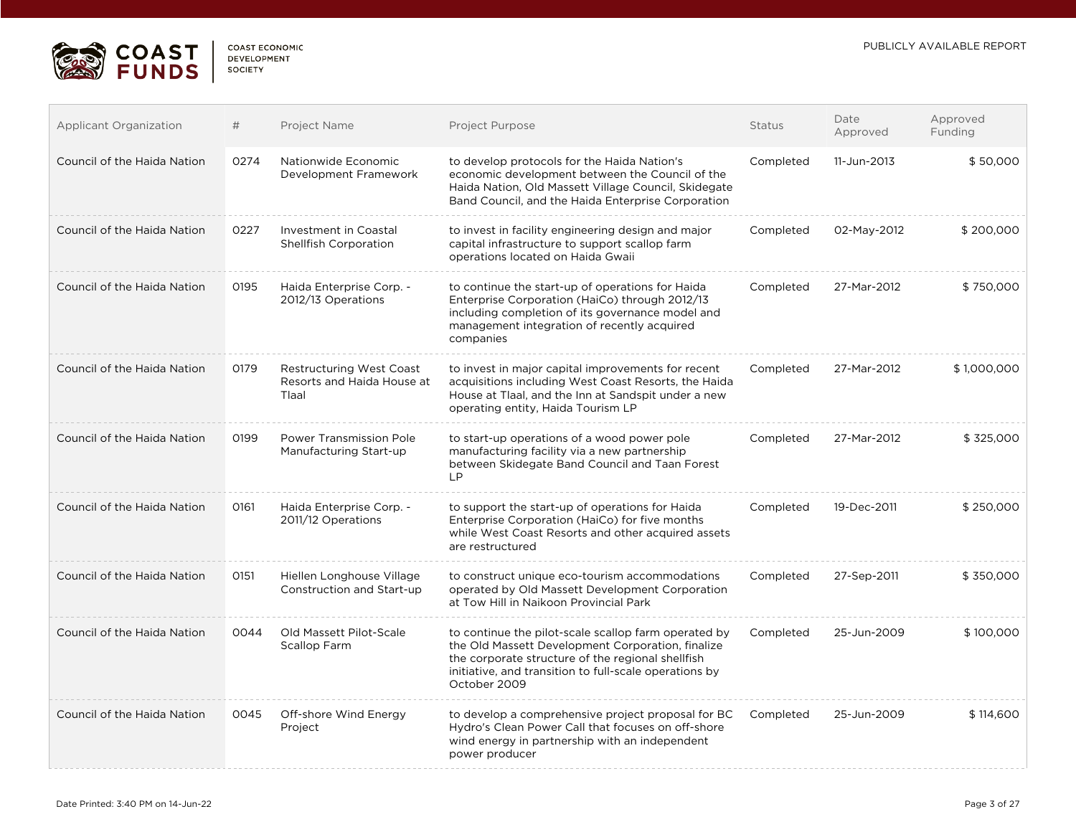

| <b>Applicant Organization</b> | #    | Project Name                                                           | Project Purpose                                                                                                                                                                                                                          | <b>Status</b> | Date<br>Approved | Approved<br>Funding |
|-------------------------------|------|------------------------------------------------------------------------|------------------------------------------------------------------------------------------------------------------------------------------------------------------------------------------------------------------------------------------|---------------|------------------|---------------------|
| Council of the Haida Nation   | 0274 | Nationwide Economic<br>Development Framework                           | to develop protocols for the Haida Nation's<br>economic development between the Council of the<br>Haida Nation, Old Massett Village Council, Skidegate<br>Band Council, and the Haida Enterprise Corporation                             | Completed     | 11-Jun-2013      | \$50,000            |
| Council of the Haida Nation   | 0227 | Investment in Coastal<br>Shellfish Corporation                         | to invest in facility engineering design and major<br>capital infrastructure to support scallop farm<br>operations located on Haida Gwaii                                                                                                | Completed     | 02-May-2012      | \$200,000           |
| Council of the Haida Nation   | 0195 | Haida Enterprise Corp. -<br>2012/13 Operations                         | to continue the start-up of operations for Haida<br>Enterprise Corporation (HaiCo) through 2012/13<br>including completion of its governance model and<br>management integration of recently acquired<br>companies                       | Completed     | 27-Mar-2012      | \$750,000           |
| Council of the Haida Nation   | 0179 | <b>Restructuring West Coast</b><br>Resorts and Haida House at<br>Tlaal | to invest in major capital improvements for recent<br>acquisitions including West Coast Resorts, the Haida<br>House at Tlaal, and the Inn at Sandspit under a new<br>operating entity, Haida Tourism LP                                  | Completed     | 27-Mar-2012      | \$1,000,000         |
| Council of the Haida Nation   | 0199 | Power Transmission Pole<br>Manufacturing Start-up                      | to start-up operations of a wood power pole<br>manufacturing facility via a new partnership<br>between Skidegate Band Council and Taan Forest<br><b>LP</b>                                                                               | Completed     | 27-Mar-2012      | \$325,000           |
| Council of the Haida Nation   | 0161 | Haida Enterprise Corp. -<br>2011/12 Operations                         | to support the start-up of operations for Haida<br>Enterprise Corporation (HaiCo) for five months<br>while West Coast Resorts and other acquired assets<br>are restructured                                                              | Completed     | 19-Dec-2011      | \$250,000           |
| Council of the Haida Nation   | 0151 | Hiellen Longhouse Village<br>Construction and Start-up                 | to construct unique eco-tourism accommodations<br>operated by Old Massett Development Corporation<br>at Tow Hill in Naikoon Provincial Park                                                                                              | Completed     | 27-Sep-2011      | \$350,000           |
| Council of the Haida Nation   | 0044 | Old Massett Pilot-Scale<br>Scallop Farm                                | to continue the pilot-scale scallop farm operated by<br>the Old Massett Development Corporation, finalize<br>the corporate structure of the regional shellfish<br>initiative, and transition to full-scale operations by<br>October 2009 | Completed     | 25-Jun-2009      | \$100,000           |
| Council of the Haida Nation   | 0045 | Off-shore Wind Energy<br>Project                                       | to develop a comprehensive project proposal for BC<br>Hydro's Clean Power Call that focuses on off-shore<br>wind energy in partnership with an independent<br>power producer                                                             | Completed     | 25-Jun-2009      | \$114,600           |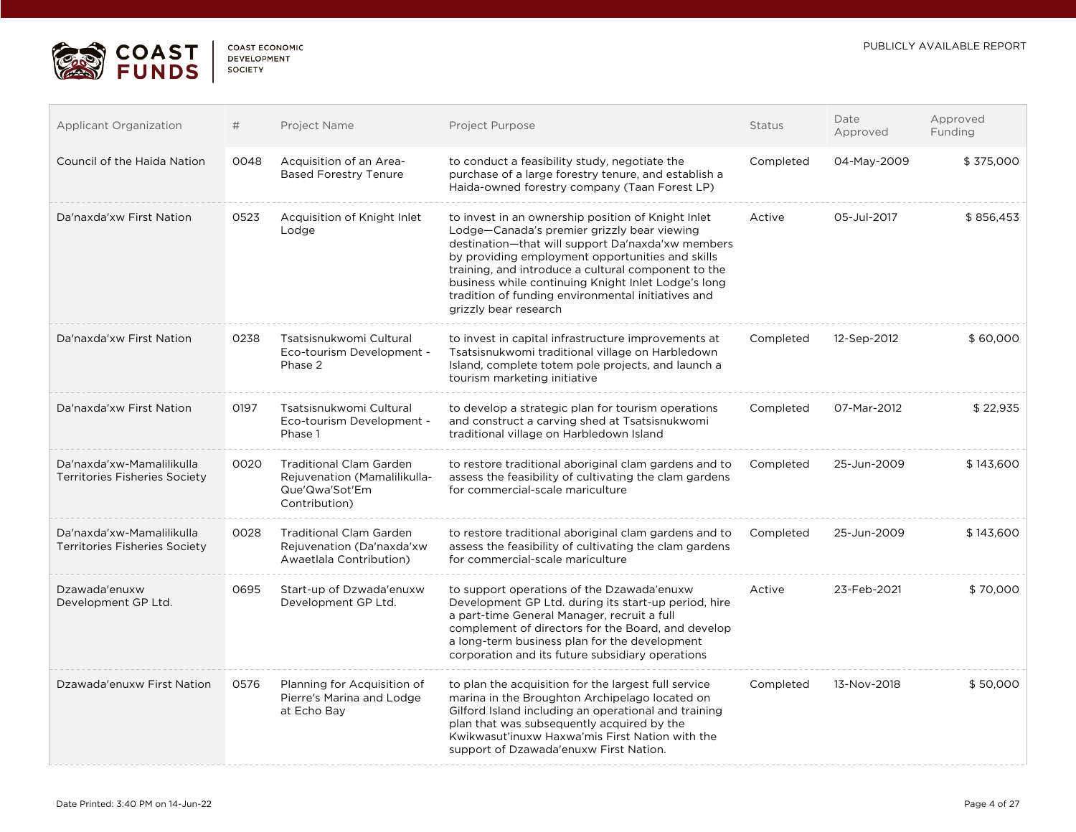

| COAST ECONOMIC     |
|--------------------|
| <b>DEVELOPMENT</b> |
| SOCIETY            |
|                    |

| Applicant Organization                                            | #    | Project Name                                                                                      | Project Purpose                                                                                                                                                                                                                                                                                                                                                                                         | <b>Status</b> | Date<br>Approved | Approved<br>Funding |
|-------------------------------------------------------------------|------|---------------------------------------------------------------------------------------------------|---------------------------------------------------------------------------------------------------------------------------------------------------------------------------------------------------------------------------------------------------------------------------------------------------------------------------------------------------------------------------------------------------------|---------------|------------------|---------------------|
| Council of the Haida Nation                                       | 0048 | Acquisition of an Area-<br><b>Based Forestry Tenure</b>                                           | to conduct a feasibility study, negotiate the<br>purchase of a large forestry tenure, and establish a<br>Haida-owned forestry company (Taan Forest LP)                                                                                                                                                                                                                                                  | Completed     | 04-May-2009      | \$375,000           |
| Da'naxda'xw First Nation                                          | 0523 | Acquisition of Knight Inlet<br>Lodge                                                              | to invest in an ownership position of Knight Inlet<br>Lodge-Canada's premier grizzly bear viewing<br>destination-that will support Da'naxda'xw members<br>by providing employment opportunities and skills<br>training, and introduce a cultural component to the<br>business while continuing Knight Inlet Lodge's long<br>tradition of funding environmental initiatives and<br>grizzly bear research | Active        | 05-Jul-2017      | \$856,453           |
| Da'naxda'xw First Nation                                          | 0238 | Tsatsisnukwomi Cultural<br>Eco-tourism Development -<br>Phase 2                                   | to invest in capital infrastructure improvements at<br>Tsatsisnukwomi traditional village on Harbledown<br>Island, complete totem pole projects, and launch a<br>tourism marketing initiative                                                                                                                                                                                                           | Completed     | 12-Sep-2012      | \$60,000            |
| Da'naxda'xw First Nation                                          | 0197 | Tsatsisnukwomi Cultural<br>Eco-tourism Development -<br>Phase 1                                   | to develop a strategic plan for tourism operations<br>and construct a carving shed at Tsatsisnukwomi<br>traditional village on Harbledown Island                                                                                                                                                                                                                                                        | Completed     | 07-Mar-2012      | \$22,935            |
| Da'naxda'xw-Mamalilikulla<br><b>Territories Fisheries Society</b> | 0020 | <b>Traditional Clam Garden</b><br>Rejuvenation (Mamalilikulla-<br>Que'Qwa'Sot'Em<br>Contribution) | to restore traditional aboriginal clam gardens and to<br>assess the feasibility of cultivating the clam gardens<br>for commercial-scale mariculture                                                                                                                                                                                                                                                     | Completed     | 25-Jun-2009      | \$143,600           |
| Da'naxda'xw-Mamalilikulla<br><b>Territories Fisheries Society</b> | 0028 | <b>Traditional Clam Garden</b><br>Rejuvenation (Da'naxda'xw<br>Awaetlala Contribution)            | to restore traditional aboriginal clam gardens and to<br>assess the feasibility of cultivating the clam gardens<br>for commercial-scale mariculture                                                                                                                                                                                                                                                     | Completed     | 25-Jun-2009      | \$143,600           |
| Dzawada'enuxw<br>Development GP Ltd.                              | 0695 | Start-up of Dzwada'enuxw<br>Development GP Ltd.                                                   | to support operations of the Dzawada'enuxw<br>Development GP Ltd. during its start-up period, hire<br>a part-time General Manager, recruit a full<br>complement of directors for the Board, and develop<br>a long-term business plan for the development<br>corporation and its future subsidiary operations                                                                                            | Active        | 23-Feb-2021      | \$70,000            |
| Dzawada'enuxw First Nation                                        | 0576 | Planning for Acquisition of<br>Pierre's Marina and Lodge<br>at Echo Bay                           | to plan the acquisition for the largest full service<br>marina in the Broughton Archipelago located on<br>Gilford Island including an operational and training<br>plan that was subsequently acquired by the<br>Kwikwasut'inuxw Haxwa'mis First Nation with the<br>support of Dzawada'enuxw First Nation.                                                                                               | Completed     | 13-Nov-2018      | \$50,000            |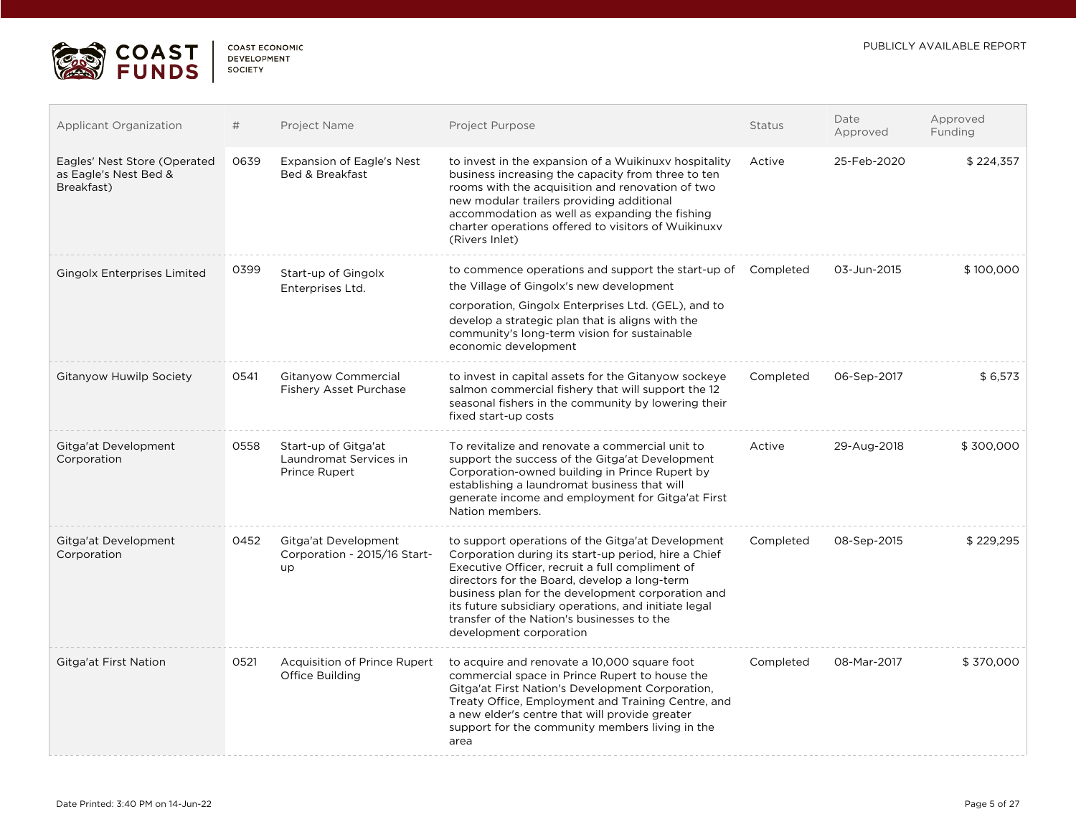

| <b>Applicant Organization</b>                                       | #    | Project Name                                                    | Project Purpose                                                                                                                                                                                                                                                                                                                                                                                    | <b>Status</b> | Date<br>Approved | Approved<br>Funding |
|---------------------------------------------------------------------|------|-----------------------------------------------------------------|----------------------------------------------------------------------------------------------------------------------------------------------------------------------------------------------------------------------------------------------------------------------------------------------------------------------------------------------------------------------------------------------------|---------------|------------------|---------------------|
| Eagles' Nest Store (Operated<br>as Eagle's Nest Bed &<br>Breakfast) | 0639 | <b>Expansion of Eagle's Nest</b><br>Bed & Breakfast             | to invest in the expansion of a Wuikinuxy hospitality<br>business increasing the capacity from three to ten<br>rooms with the acquisition and renovation of two<br>new modular trailers providing additional<br>accommodation as well as expanding the fishing<br>charter operations offered to visitors of Wuikinuxy<br>(Rivers Inlet)                                                            | Active        | 25-Feb-2020      | \$224,357           |
| <b>Gingolx Enterprises Limited</b>                                  | 0399 | Start-up of Gingolx<br>Enterprises Ltd.                         | to commence operations and support the start-up of Completed<br>the Village of Gingolx's new development<br>corporation, Gingolx Enterprises Ltd. (GEL), and to<br>develop a strategic plan that is aligns with the<br>community's long-term vision for sustainable<br>economic development                                                                                                        |               | 03-Jun-2015      | \$100,000           |
| <b>Gitanyow Huwilp Society</b>                                      | 0541 | Gitanyow Commercial<br>Fishery Asset Purchase                   | to invest in capital assets for the Gitanyow sockeye<br>salmon commercial fishery that will support the 12<br>seasonal fishers in the community by lowering their<br>fixed start-up costs                                                                                                                                                                                                          | Completed     | 06-Sep-2017      | \$6,573             |
| Gitga'at Development<br>Corporation                                 | 0558 | Start-up of Gitga'at<br>Laundromat Services in<br>Prince Rupert | To revitalize and renovate a commercial unit to<br>support the success of the Gitga'at Development<br>Corporation-owned building in Prince Rupert by<br>establishing a laundromat business that will<br>generate income and employment for Gitga'at First<br>Nation members.                                                                                                                       | Active        | 29-Aug-2018      | \$300,000           |
| Gitga'at Development<br>Corporation                                 | 0452 | Gitga'at Development<br>Corporation - 2015/16 Start-<br>up      | to support operations of the Gitga'at Development<br>Corporation during its start-up period, hire a Chief<br>Executive Officer, recruit a full compliment of<br>directors for the Board, develop a long-term<br>business plan for the development corporation and<br>its future subsidiary operations, and initiate legal<br>transfer of the Nation's businesses to the<br>development corporation | Completed     | 08-Sep-2015      | \$229,295           |
| Gitga'at First Nation                                               | 0521 | Acquisition of Prince Rupert<br>Office Building                 | to acquire and renovate a 10,000 square foot<br>commercial space in Prince Rupert to house the<br>Gitga'at First Nation's Development Corporation,<br>Treaty Office, Employment and Training Centre, and<br>a new elder's centre that will provide greater<br>support for the community members living in the<br>area                                                                              | Completed     | 08-Mar-2017      | \$370,000           |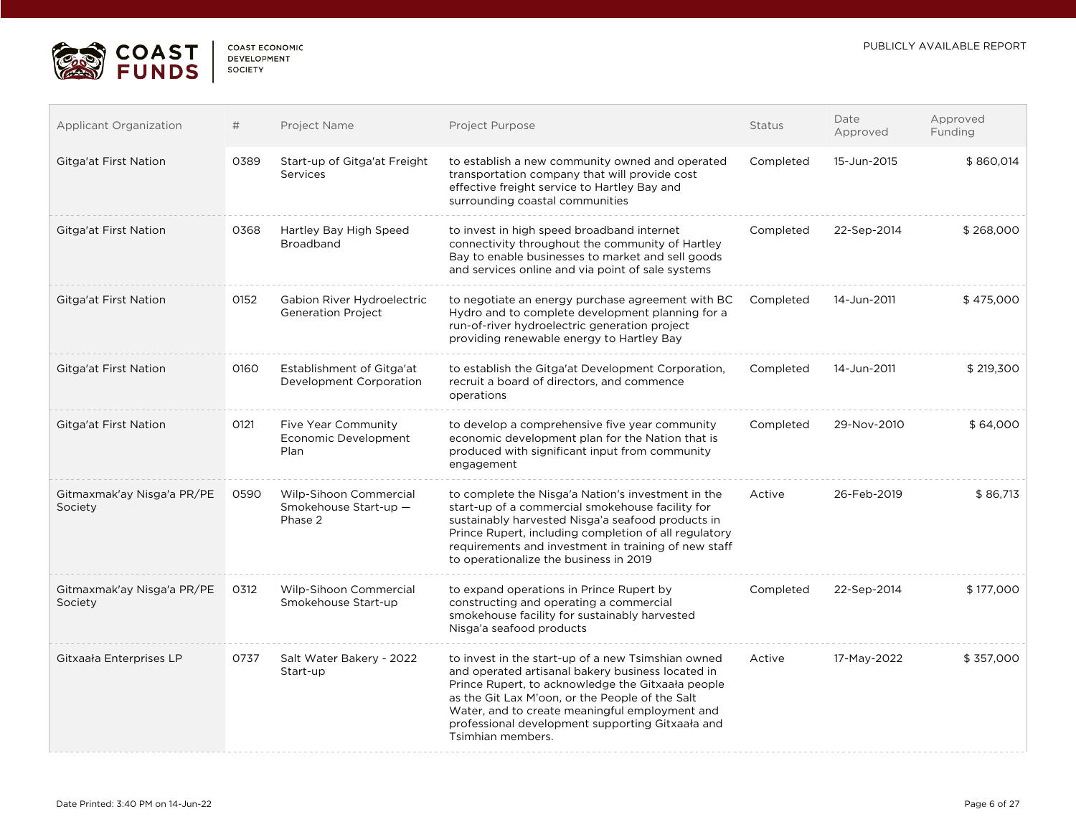

| <b>COAST ECONOMIC</b> |  |
|-----------------------|--|
| <b>DEVELOPMENT</b>    |  |
| <b>SOCIETY</b>        |  |

| <b>Applicant Organization</b>         | #    | Project Name                                               | Project Purpose                                                                                                                                                                                                                                                                                                                            | Status    | Date<br>Approved | Approved<br>Funding |
|---------------------------------------|------|------------------------------------------------------------|--------------------------------------------------------------------------------------------------------------------------------------------------------------------------------------------------------------------------------------------------------------------------------------------------------------------------------------------|-----------|------------------|---------------------|
| Gitga'at First Nation                 | 0389 | Start-up of Gitga'at Freight<br><b>Services</b>            | to establish a new community owned and operated<br>transportation company that will provide cost<br>effective freight service to Hartley Bay and<br>surrounding coastal communities                                                                                                                                                        | Completed | 15-Jun-2015      | \$860,014           |
| Gitga'at First Nation                 | 0368 | Hartley Bay High Speed<br>Broadband                        | to invest in high speed broadband internet<br>connectivity throughout the community of Hartley<br>Bay to enable businesses to market and sell goods<br>and services online and via point of sale systems                                                                                                                                   | Completed | 22-Sep-2014      | \$268,000           |
| Gitga'at First Nation                 | 0152 | Gabion River Hydroelectric<br><b>Generation Project</b>    | to negotiate an energy purchase agreement with BC<br>Hydro and to complete development planning for a<br>run-of-river hydroelectric generation project<br>providing renewable energy to Hartley Bay                                                                                                                                        | Completed | 14-Jun-2011      | \$475,000           |
| Gitga'at First Nation                 | 0160 | Establishment of Gitga'at<br>Development Corporation       | to establish the Gitga'at Development Corporation,<br>recruit a board of directors, and commence<br>operations                                                                                                                                                                                                                             | Completed | 14-Jun-2011      | \$219,300           |
| Gitga'at First Nation                 | 0121 | <b>Five Year Community</b><br>Economic Development<br>Plan | to develop a comprehensive five year community<br>economic development plan for the Nation that is<br>produced with significant input from community<br>engagement                                                                                                                                                                         | Completed | 29-Nov-2010      | \$64,000            |
| Gitmaxmak'ay Nisga'a PR/PE<br>Society | 0590 | Wilp-Sihoon Commercial<br>Smokehouse Start-up -<br>Phase 2 | to complete the Nisga'a Nation's investment in the<br>start-up of a commercial smokehouse facility for<br>sustainably harvested Nisga'a seafood products in<br>Prince Rupert, including completion of all regulatory<br>requirements and investment in training of new staff<br>to operationalize the business in 2019                     | Active    | 26-Feb-2019      | \$86,713            |
| Gitmaxmak'ay Nisga'a PR/PE<br>Society | 0312 | Wilp-Sihoon Commercial<br>Smokehouse Start-up              | to expand operations in Prince Rupert by<br>constructing and operating a commercial<br>smokehouse facility for sustainably harvested<br>Nisga'a seafood products                                                                                                                                                                           | Completed | 22-Sep-2014      | \$177,000           |
| Gitxaała Enterprises LP               | 0737 | Salt Water Bakery - 2022<br>Start-up                       | to invest in the start-up of a new Tsimshian owned<br>and operated artisanal bakery business located in<br>Prince Rupert, to acknowledge the Gitxaała people<br>as the Git Lax M'oon, or the People of the Salt<br>Water, and to create meaningful employment and<br>professional development supporting Gitxaala and<br>Tsimhian members. | Active    | 17-May-2022      | \$357,000           |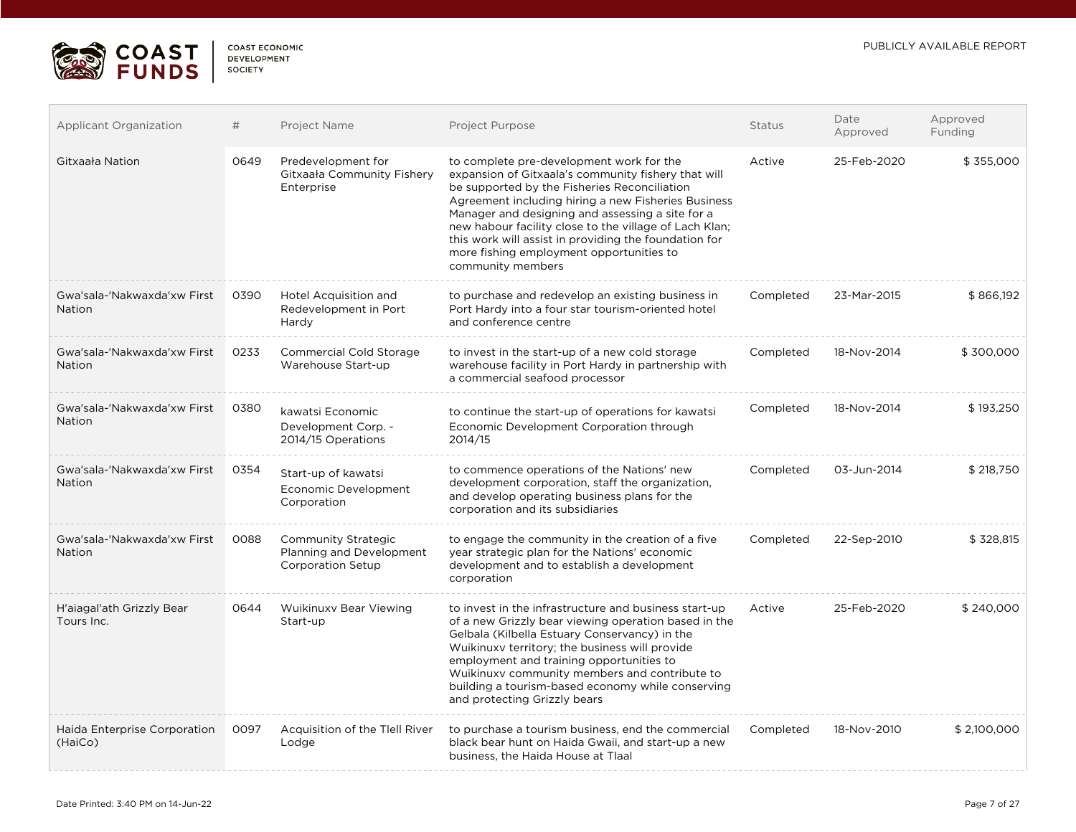

 $\mathcal{L}^{\text{max}}$ 

| <b>COAST ECONOMIC</b> |  |
|-----------------------|--|
| <b>DEVELOPMENT</b>    |  |
| SOCIETY               |  |

| <b>Applicant Organization</b>                | #    | Project Name                                                                       | Project Purpose                                                                                                                                                                                                                                                                                                                                                                                                                                | Status    | Date<br>Approved | Approved<br>Funding |
|----------------------------------------------|------|------------------------------------------------------------------------------------|------------------------------------------------------------------------------------------------------------------------------------------------------------------------------------------------------------------------------------------------------------------------------------------------------------------------------------------------------------------------------------------------------------------------------------------------|-----------|------------------|---------------------|
| Gitxaała Nation                              | 0649 | Predevelopment for<br>Gitxaała Community Fishery<br>Enterprise                     | to complete pre-development work for the<br>expansion of Gitxaala's community fishery that will<br>be supported by the Fisheries Reconciliation<br>Agreement including hiring a new Fisheries Business<br>Manager and designing and assessing a site for a<br>new habour facility close to the village of Lach Klan;<br>this work will assist in providing the foundation for<br>more fishing employment opportunities to<br>community members | Active    | 25-Feb-2020      | \$355,000           |
| Gwa'sala-'Nakwaxda'xw First<br><b>Nation</b> | 0390 | Hotel Acquisition and<br>Redevelopment in Port<br>Hardy                            | to purchase and redevelop an existing business in<br>Port Hardy into a four star tourism-oriented hotel<br>and conference centre                                                                                                                                                                                                                                                                                                               | Completed | 23-Mar-2015      | \$866,192           |
| Gwa'sala-'Nakwaxda'xw First<br><b>Nation</b> | 0233 | Commercial Cold Storage<br>Warehouse Start-up                                      | to invest in the start-up of a new cold storage<br>warehouse facility in Port Hardy in partnership with<br>a commercial seafood processor                                                                                                                                                                                                                                                                                                      | Completed | 18-Nov-2014      | \$300,000           |
| Gwa'sala-'Nakwaxda'xw First<br><b>Nation</b> | 0380 | kawatsi Economic<br>Development Corp. -<br>2014/15 Operations                      | to continue the start-up of operations for kawatsi<br>Economic Development Corporation through<br>2014/15                                                                                                                                                                                                                                                                                                                                      | Completed | 18-Nov-2014      | \$193,250           |
| Gwa'sala-'Nakwaxda'xw First<br><b>Nation</b> | 0354 | Start-up of kawatsi<br>Economic Development<br>Corporation                         | to commence operations of the Nations' new<br>development corporation, staff the organization,<br>and develop operating business plans for the<br>corporation and its subsidiaries                                                                                                                                                                                                                                                             | Completed | 03-Jun-2014      | \$218,750           |
| Gwa'sala-'Nakwaxda'xw First<br><b>Nation</b> | 0088 | <b>Community Strategic</b><br>Planning and Development<br><b>Corporation Setup</b> | to engage the community in the creation of a five<br>year strategic plan for the Nations' economic<br>development and to establish a development<br>corporation                                                                                                                                                                                                                                                                                | Completed | 22-Sep-2010      | \$328,815           |
| H'aiagal'ath Grizzly Bear<br>Tours Inc.      | 0644 | Wuikinuxy Bear Viewing<br>Start-up                                                 | to invest in the infrastructure and business start-up<br>of a new Grizzly bear viewing operation based in the<br>Gelbala (Kilbella Estuary Conservancy) in the<br>Wuikinuxy territory; the business will provide<br>employment and training opportunities to<br>Wuikinuxy community members and contribute to<br>building a tourism-based economy while conserving<br>and protecting Grizzly bears                                             | Active    | 25-Feb-2020      | \$240,000           |
| Haida Enterprise Corporation<br>(HaiCo)      | 0097 | Acquisition of the Tiell River<br>Lodge                                            | to purchase a tourism business, end the commercial<br>black bear hunt on Haida Gwaii, and start-up a new<br>business, the Haida House at Tlaal                                                                                                                                                                                                                                                                                                 | Completed | 18-Nov-2010      | \$2,100,000         |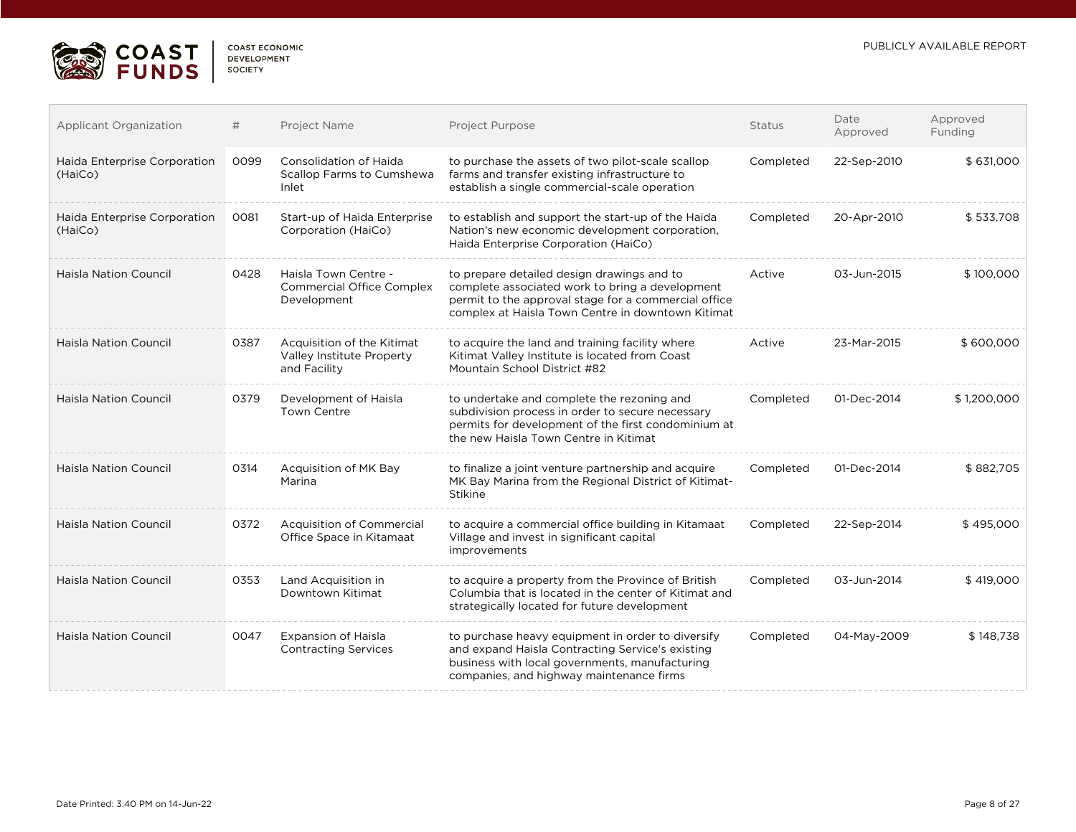

| COAST ECONOMIC     |
|--------------------|
| <b>DEVELOPMENT</b> |
| SOCIETY            |
|                    |

| <b>Applicant Organization</b>           | #    | Project Name                                                            | <b>Project Purpose</b>                                                                                                                                                                                     | Status    | Date<br>Approved | Approved<br>Funding |
|-----------------------------------------|------|-------------------------------------------------------------------------|------------------------------------------------------------------------------------------------------------------------------------------------------------------------------------------------------------|-----------|------------------|---------------------|
| Haida Enterprise Corporation<br>(HaiCo) | 0099 | <b>Consolidation of Haida</b><br>Scallop Farms to Cumshewa<br>Inlet     | to purchase the assets of two pilot-scale scallop<br>farms and transfer existing infrastructure to<br>establish a single commercial-scale operation                                                        | Completed | 22-Sep-2010      | \$631,000           |
| Haida Enterprise Corporation<br>(HaiCo) | 0081 | Start-up of Haida Enterprise<br>Corporation (HaiCo)                     | to establish and support the start-up of the Haida<br>Nation's new economic development corporation,<br>Haida Enterprise Corporation (HaiCo)                                                               | Completed | 20-Apr-2010      | \$533,708           |
| <b>Haisla Nation Council</b>            | 0428 | Haisla Town Centre -<br><b>Commercial Office Complex</b><br>Development | to prepare detailed design drawings and to<br>complete associated work to bring a development<br>permit to the approval stage for a commercial office<br>complex at Haisla Town Centre in downtown Kitimat | Active    | 03-Jun-2015      | \$100,000           |
| <b>Haisla Nation Council</b>            | 0387 | Acquisition of the Kitimat<br>Valley Institute Property<br>and Facility | to acquire the land and training facility where<br>Kitimat Valley Institute is located from Coast<br>Mountain School District #82                                                                          | Active    | 23-Mar-2015      | \$600,000           |
| <b>Haisla Nation Council</b>            | 0379 | Development of Haisla<br><b>Town Centre</b>                             | to undertake and complete the rezoning and<br>subdivision process in order to secure necessary<br>permits for development of the first condominium at<br>the new Haisla Town Centre in Kitimat             | Completed | 01-Dec-2014      | \$1,200,000         |
| <b>Haisla Nation Council</b>            | 0314 | Acquisition of MK Bay<br>Marina                                         | to finalize a joint venture partnership and acquire<br>MK Bay Marina from the Regional District of Kitimat-<br>Stikine                                                                                     | Completed | 01-Dec-2014      | \$882,705           |
| <b>Haisla Nation Council</b>            | 0372 | <b>Acquisition of Commercial</b><br>Office Space in Kitamaat            | to acquire a commercial office building in Kitamaat<br>Village and invest in significant capital<br>improvements                                                                                           | Completed | 22-Sep-2014      | \$495,000           |
| <b>Haisla Nation Council</b>            | 0353 | Land Acquisition in<br>Downtown Kitimat                                 | to acquire a property from the Province of British<br>Columbia that is located in the center of Kitimat and<br>strategically located for future development                                                | Completed | 03-Jun-2014      | \$419,000           |
| <b>Haisla Nation Council</b>            | 0047 | <b>Expansion of Haisla</b><br><b>Contracting Services</b>               | to purchase heavy equipment in order to diversify<br>and expand Haisla Contracting Service's existing<br>business with local governments, manufacturing<br>companies, and highway maintenance firms        | Completed | 04-May-2009      | \$148,738           |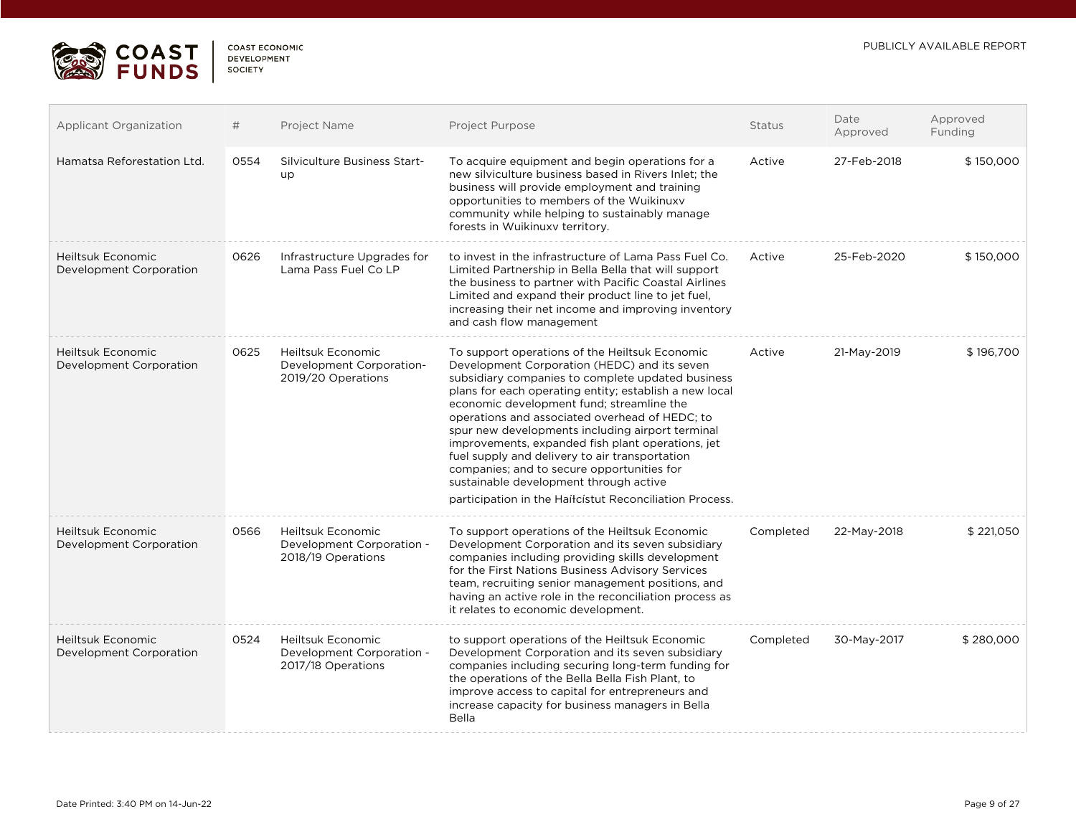

| <b>COAST ECONOMIC</b> |  |
|-----------------------|--|
| DEVELOPMENT           |  |
| SOCIETY               |  |

| <b>Applicant Organization</b>                | #    | Project Name                                                                | Project Purpose                                                                                                                                                                                                                                                                                                                                                                                                                                                                                                                                                                                                            | <b>Status</b> | Date<br>Approved | Approved<br>Funding |
|----------------------------------------------|------|-----------------------------------------------------------------------------|----------------------------------------------------------------------------------------------------------------------------------------------------------------------------------------------------------------------------------------------------------------------------------------------------------------------------------------------------------------------------------------------------------------------------------------------------------------------------------------------------------------------------------------------------------------------------------------------------------------------------|---------------|------------------|---------------------|
| Hamatsa Reforestation Ltd.                   | 0554 | Silviculture Business Start-<br>up                                          | To acquire equipment and begin operations for a<br>new silviculture business based in Rivers Inlet; the<br>business will provide employment and training<br>opportunities to members of the Wuikinuxv<br>community while helping to sustainably manage<br>forests in Wuikinuxv territory.                                                                                                                                                                                                                                                                                                                                  | Active        | 27-Feb-2018      | \$150,000           |
| Heiltsuk Economic<br>Development Corporation | 0626 | Infrastructure Upgrades for<br>Lama Pass Fuel Co LP                         | to invest in the infrastructure of Lama Pass Fuel Co.<br>Limited Partnership in Bella Bella that will support<br>the business to partner with Pacific Coastal Airlines<br>Limited and expand their product line to jet fuel,<br>increasing their net income and improving inventory<br>and cash flow management                                                                                                                                                                                                                                                                                                            | Active        | 25-Feb-2020      | \$150,000           |
| Heiltsuk Economic<br>Development Corporation | 0625 | <b>Heiltsuk Economic</b><br>Development Corporation-<br>2019/20 Operations  | To support operations of the Heiltsuk Economic<br>Development Corporation (HEDC) and its seven<br>subsidiary companies to complete updated business<br>plans for each operating entity; establish a new local<br>economic development fund; streamline the<br>operations and associated overhead of HEDC; to<br>spur new developments including airport terminal<br>improvements, expanded fish plant operations, jet<br>fuel supply and delivery to air transportation<br>companies; and to secure opportunities for<br>sustainable development through active<br>participation in the Haíłcístut Reconciliation Process. | Active        | 21-May-2019      | \$196,700           |
| Heiltsuk Economic<br>Development Corporation | 0566 | <b>Heiltsuk Economic</b><br>Development Corporation -<br>2018/19 Operations | To support operations of the Heiltsuk Economic<br>Development Corporation and its seven subsidiary<br>companies including providing skills development<br>for the First Nations Business Advisory Services<br>team, recruiting senior management positions, and<br>having an active role in the reconciliation process as<br>it relates to economic development.                                                                                                                                                                                                                                                           | Completed     | 22-May-2018      | \$221,050           |
| Heiltsuk Economic<br>Development Corporation | 0524 | <b>Heiltsuk Economic</b><br>Development Corporation -<br>2017/18 Operations | to support operations of the Heiltsuk Economic<br>Development Corporation and its seven subsidiary<br>companies including securing long-term funding for<br>the operations of the Bella Bella Fish Plant, to<br>improve access to capital for entrepreneurs and<br>increase capacity for business managers in Bella<br>Bella                                                                                                                                                                                                                                                                                               | Completed     | 30-May-2017      | \$280,000           |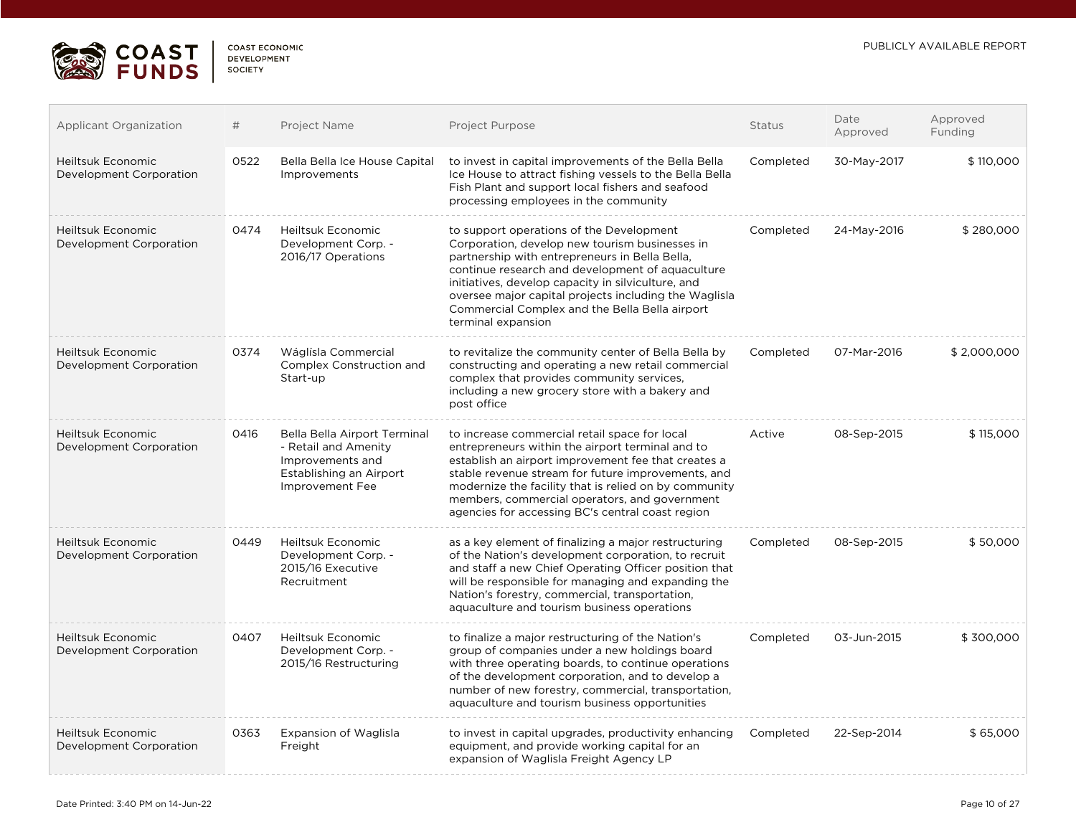

| COAST ECONOMIC     |  |
|--------------------|--|
| <b>DEVELOPMENT</b> |  |
| <b>SOCIETY</b>     |  |

| <b>Applicant Organization</b>                       | #    | Project Name                                                                                                           | Project Purpose                                                                                                                                                                                                                                                                                                                                                                         | <b>Status</b> | Date<br>Approved | Approved<br>Funding |
|-----------------------------------------------------|------|------------------------------------------------------------------------------------------------------------------------|-----------------------------------------------------------------------------------------------------------------------------------------------------------------------------------------------------------------------------------------------------------------------------------------------------------------------------------------------------------------------------------------|---------------|------------------|---------------------|
| <b>Heiltsuk Economic</b><br>Development Corporation | 0522 | Bella Bella Ice House Capital<br>Improvements                                                                          | to invest in capital improvements of the Bella Bella<br>Ice House to attract fishing vessels to the Bella Bella<br>Fish Plant and support local fishers and seafood<br>processing employees in the community                                                                                                                                                                            | Completed     | 30-May-2017      | \$110,000           |
| <b>Heiltsuk Economic</b><br>Development Corporation | 0474 | <b>Heiltsuk Economic</b><br>Development Corp. -<br>2016/17 Operations                                                  | to support operations of the Development<br>Corporation, develop new tourism businesses in<br>partnership with entrepreneurs in Bella Bella,<br>continue research and development of aquaculture<br>initiatives, develop capacity in silviculture, and<br>oversee major capital projects including the Waglisla<br>Commercial Complex and the Bella Bella airport<br>terminal expansion | Completed     | 24-May-2016      | \$280,000           |
| Heiltsuk Economic<br>Development Corporation        | 0374 | Wáglísla Commercial<br>Complex Construction and<br>Start-up                                                            | to revitalize the community center of Bella Bella by<br>constructing and operating a new retail commercial<br>complex that provides community services,<br>including a new grocery store with a bakery and<br>post office                                                                                                                                                               | Completed     | 07-Mar-2016      | \$2,000,000         |
| Heiltsuk Economic<br>Development Corporation        | 0416 | Bella Bella Airport Terminal<br>- Retail and Amenity<br>Improvements and<br>Establishing an Airport<br>Improvement Fee | to increase commercial retail space for local<br>entrepreneurs within the airport terminal and to<br>establish an airport improvement fee that creates a<br>stable revenue stream for future improvements, and<br>modernize the facility that is relied on by community<br>members, commercial operators, and government<br>agencies for accessing BC's central coast region            | Active        | 08-Sep-2015      | \$115,000           |
| Heiltsuk Economic<br>Development Corporation        | 0449 | <b>Heiltsuk Economic</b><br>Development Corp. -<br>2015/16 Executive<br>Recruitment                                    | as a key element of finalizing a major restructuring<br>of the Nation's development corporation, to recruit<br>and staff a new Chief Operating Officer position that<br>will be responsible for managing and expanding the<br>Nation's forestry, commercial, transportation,<br>aquaculture and tourism business operations                                                             | Completed     | 08-Sep-2015      | \$50,000            |
| <b>Heiltsuk Economic</b><br>Development Corporation | 0407 | Heiltsuk Economic<br>Development Corp. -<br>2015/16 Restructuring                                                      | to finalize a major restructuring of the Nation's<br>group of companies under a new holdings board<br>with three operating boards, to continue operations<br>of the development corporation, and to develop a<br>number of new forestry, commercial, transportation,<br>aquaculture and tourism business opportunities                                                                  | Completed     | 03-Jun-2015      | \$300,000           |
| Heiltsuk Economic<br>Development Corporation        | 0363 | Expansion of Waglisla<br>Freight                                                                                       | to invest in capital upgrades, productivity enhancing<br>equipment, and provide working capital for an<br>expansion of Waglisla Freight Agency LP                                                                                                                                                                                                                                       | Completed     | 22-Sep-2014      | \$65,000            |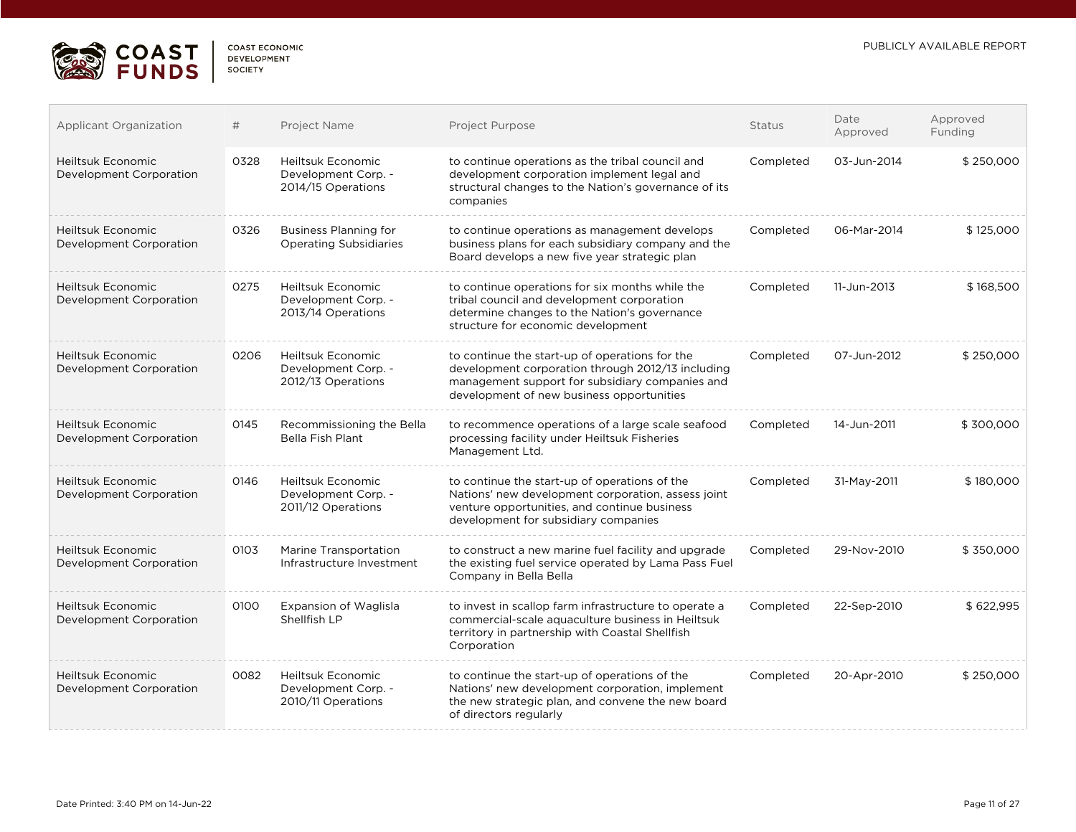

| COAST ECONOMIC |  |
|----------------|--|
| DEVELOPMENT    |  |
| SOCIETY        |  |

| Applicant Organization                              | #    | Project Name                                                   | Project Purpose                                                                                                                                                                                     | <b>Status</b> | Date<br>Approved | Approved<br>Funding |
|-----------------------------------------------------|------|----------------------------------------------------------------|-----------------------------------------------------------------------------------------------------------------------------------------------------------------------------------------------------|---------------|------------------|---------------------|
| Heiltsuk Economic<br>Development Corporation        | 0328 | Heiltsuk Economic<br>Development Corp. -<br>2014/15 Operations | to continue operations as the tribal council and<br>development corporation implement legal and<br>structural changes to the Nation's governance of its<br>companies                                | Completed     | 03-Jun-2014      | \$250,000           |
| <b>Heiltsuk Economic</b><br>Development Corporation | 0326 | Business Planning for<br><b>Operating Subsidiaries</b>         | to continue operations as management develops<br>business plans for each subsidiary company and the<br>Board develops a new five year strategic plan                                                | Completed     | 06-Mar-2014      | \$125,000           |
| <b>Heiltsuk Economic</b><br>Development Corporation | 0275 | Heiltsuk Economic<br>Development Corp. -<br>2013/14 Operations | to continue operations for six months while the<br>tribal council and development corporation<br>determine changes to the Nation's governance<br>structure for economic development                 | Completed     | 11-Jun-2013      | \$168,500           |
| Heiltsuk Economic<br>Development Corporation        | 0206 | Heiltsuk Economic<br>Development Corp. -<br>2012/13 Operations | to continue the start-up of operations for the<br>development corporation through 2012/13 including<br>management support for subsidiary companies and<br>development of new business opportunities | Completed     | 07-Jun-2012      | \$250,000           |
| Heiltsuk Economic<br>Development Corporation        | 0145 | Recommissioning the Bella<br><b>Bella Fish Plant</b>           | to recommence operations of a large scale seafood<br>processing facility under Heiltsuk Fisheries<br>Management Ltd.                                                                                | Completed     | 14-Jun-2011      | \$300,000           |
| Heiltsuk Economic<br>Development Corporation        | 0146 | Heiltsuk Economic<br>Development Corp. -<br>2011/12 Operations | to continue the start-up of operations of the<br>Nations' new development corporation, assess joint<br>venture opportunities, and continue business<br>development for subsidiary companies         | Completed     | 31-May-2011      | \$180,000           |
| Heiltsuk Economic<br>Development Corporation        | 0103 | Marine Transportation<br>Infrastructure Investment             | to construct a new marine fuel facility and upgrade<br>the existing fuel service operated by Lama Pass Fuel<br>Company in Bella Bella                                                               | Completed     | 29-Nov-2010      | \$350,000           |
| Heiltsuk Economic<br>Development Corporation        | 0100 | <b>Expansion of Waglisla</b><br>Shellfish LP                   | to invest in scallop farm infrastructure to operate a<br>commercial-scale aquaculture business in Heiltsuk<br>territory in partnership with Coastal Shellfish<br>Corporation                        | Completed     | 22-Sep-2010      | \$622,995           |
| Heiltsuk Economic<br>Development Corporation        | 0082 | Heiltsuk Economic<br>Development Corp. -<br>2010/11 Operations | to continue the start-up of operations of the<br>Nations' new development corporation, implement<br>the new strategic plan, and convene the new board<br>of directors regularly                     | Completed     | 20-Apr-2010      | \$250,000           |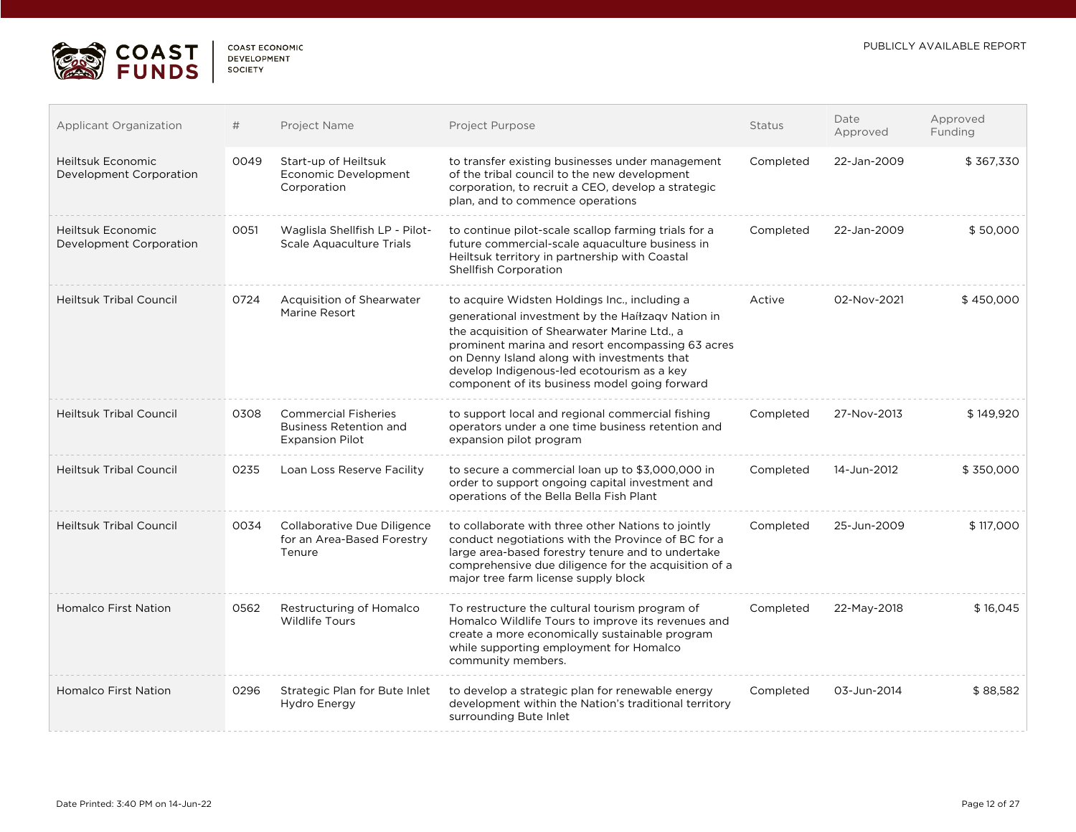

| COAST ECONOMIC     |  |
|--------------------|--|
| <b>DEVELOPMENT</b> |  |
| <b>SOCIETY</b>     |  |

. . . . .

| <b>Applicant Organization</b>                | #    | Project Name                                                                           | Project Purpose                                                                                                                                                                                                                                                                                                                                       | <b>Status</b> | Date<br>Approved | Approved<br>Funding |
|----------------------------------------------|------|----------------------------------------------------------------------------------------|-------------------------------------------------------------------------------------------------------------------------------------------------------------------------------------------------------------------------------------------------------------------------------------------------------------------------------------------------------|---------------|------------------|---------------------|
| Heiltsuk Economic<br>Development Corporation | 0049 | Start-up of Heiltsuk<br>Economic Development<br>Corporation                            | to transfer existing businesses under management<br>of the tribal council to the new development<br>corporation, to recruit a CEO, develop a strategic<br>plan, and to commence operations                                                                                                                                                            | Completed     | 22-Jan-2009      | \$367,330           |
| Heiltsuk Economic<br>Development Corporation | 0051 | Waglisla Shellfish LP - Pilot-<br>Scale Aquaculture Trials                             | to continue pilot-scale scallop farming trials for a<br>future commercial-scale aquaculture business in<br>Heiltsuk territory in partnership with Coastal<br>Shellfish Corporation                                                                                                                                                                    | Completed     | 22-Jan-2009      | \$50,000            |
| <b>Heiltsuk Tribal Council</b>               | 0724 | Acquisition of Shearwater<br>Marine Resort                                             | to acquire Widsten Holdings Inc., including a<br>generational investment by the Haíłzaqv Nation in<br>the acquisition of Shearwater Marine Ltd., a<br>prominent marina and resort encompassing 63 acres<br>on Denny Island along with investments that<br>develop Indigenous-led ecotourism as a key<br>component of its business model going forward | Active        | 02-Nov-2021      | \$450,000           |
| <b>Heiltsuk Tribal Council</b>               | 0308 | <b>Commercial Fisheries</b><br><b>Business Retention and</b><br><b>Expansion Pilot</b> | to support local and regional commercial fishing<br>operators under a one time business retention and<br>expansion pilot program                                                                                                                                                                                                                      | Completed     | 27-Nov-2013      | \$149,920           |
| <b>Heiltsuk Tribal Council</b>               | 0235 | Loan Loss Reserve Facility                                                             | to secure a commercial loan up to \$3,000,000 in<br>order to support ongoing capital investment and<br>operations of the Bella Bella Fish Plant                                                                                                                                                                                                       | Completed     | 14-Jun-2012      | \$350,000           |
| <b>Heiltsuk Tribal Council</b>               | 0034 | Collaborative Due Diligence<br>for an Area-Based Forestry<br>Tenure                    | to collaborate with three other Nations to jointly<br>conduct negotiations with the Province of BC for a<br>large area-based forestry tenure and to undertake<br>comprehensive due diligence for the acquisition of a<br>major tree farm license supply block                                                                                         | Completed     | 25-Jun-2009      | \$117,000           |
| <b>Homalco First Nation</b>                  | 0562 | Restructuring of Homalco<br>Wildlife Tours                                             | To restructure the cultural tourism program of<br>Homalco Wildlife Tours to improve its revenues and<br>create a more economically sustainable program<br>while supporting employment for Homalco<br>community members.                                                                                                                               | Completed     | 22-May-2018      | \$16,045            |
| <b>Homalco First Nation</b>                  | 0296 | Strategic Plan for Bute Inlet<br>Hydro Energy                                          | to develop a strategic plan for renewable energy<br>development within the Nation's traditional territory<br>surrounding Bute Inlet                                                                                                                                                                                                                   | Completed     | 03-Jun-2014      | \$88,582            |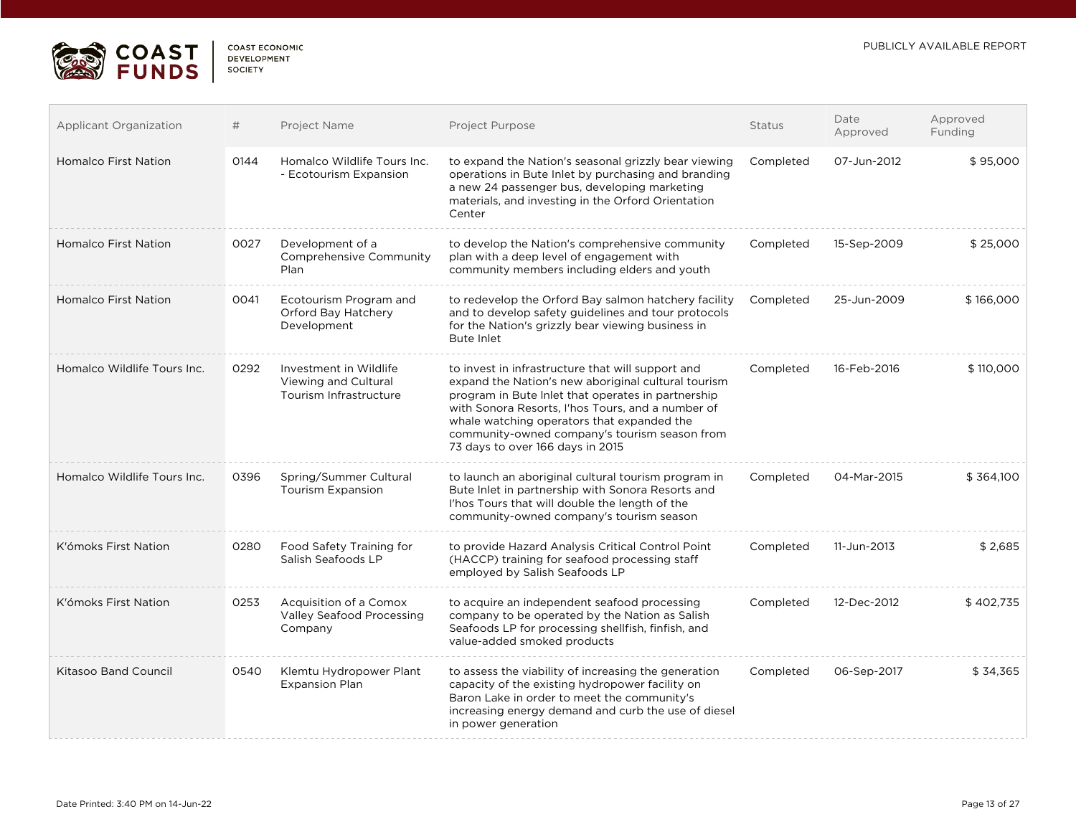

| COAST FCONOMIC     |  |
|--------------------|--|
| <b>DEVELOPMENT</b> |  |
| <b>SOCIETY</b>     |  |

| Applicant Organization      | #    | Project Name                                                             | Project Purpose                                                                                                                                                                                                                                                                                                                                        | <b>Status</b> | Date<br>Approved | Approved<br>Funding |
|-----------------------------|------|--------------------------------------------------------------------------|--------------------------------------------------------------------------------------------------------------------------------------------------------------------------------------------------------------------------------------------------------------------------------------------------------------------------------------------------------|---------------|------------------|---------------------|
| <b>Homalco First Nation</b> | 0144 | Homalco Wildlife Tours Inc.<br>- Ecotourism Expansion                    | to expand the Nation's seasonal grizzly bear viewing<br>operations in Bute Inlet by purchasing and branding<br>a new 24 passenger bus, developing marketing<br>materials, and investing in the Orford Orientation<br>Center                                                                                                                            | Completed     | 07-Jun-2012      | \$95,000            |
| <b>Homalco First Nation</b> | 0027 | Development of a<br>Comprehensive Community<br>Plan                      | to develop the Nation's comprehensive community<br>plan with a deep level of engagement with<br>community members including elders and youth                                                                                                                                                                                                           | Completed     | 15-Sep-2009      | \$25,000            |
| <b>Homalco First Nation</b> | 0041 | Ecotourism Program and<br>Orford Bay Hatchery<br>Development             | to redevelop the Orford Bay salmon hatchery facility<br>and to develop safety guidelines and tour protocols<br>for the Nation's grizzly bear viewing business in<br>Bute Inlet                                                                                                                                                                         | Completed     | 25-Jun-2009      | \$166,000           |
| Homalco Wildlife Tours Inc. | 0292 | Investment in Wildlife<br>Viewing and Cultural<br>Tourism Infrastructure | to invest in infrastructure that will support and<br>expand the Nation's new aboriginal cultural tourism<br>program in Bute Inlet that operates in partnership<br>with Sonora Resorts, I'hos Tours, and a number of<br>whale watching operators that expanded the<br>community-owned company's tourism season from<br>73 days to over 166 days in 2015 | Completed     | 16-Feb-2016      | \$110,000           |
| Homalco Wildlife Tours Inc. | 0396 | Spring/Summer Cultural<br><b>Tourism Expansion</b>                       | to launch an aboriginal cultural tourism program in<br>Bute Inlet in partnership with Sonora Resorts and<br>I'hos Tours that will double the length of the<br>community-owned company's tourism season                                                                                                                                                 | Completed     | 04-Mar-2015      | \$364,100           |
| K'ómoks First Nation        | 0280 | Food Safety Training for<br>Salish Seafoods LP                           | to provide Hazard Analysis Critical Control Point<br>(HACCP) training for seafood processing staff<br>employed by Salish Seafoods LP                                                                                                                                                                                                                   | Completed     | 11-Jun-2013      | \$2,685             |
| K'ómoks First Nation        | 0253 | Acquisition of a Comox<br><b>Valley Seafood Processing</b><br>Company    | to acquire an independent seafood processing<br>company to be operated by the Nation as Salish<br>Seafoods LP for processing shellfish, finfish, and<br>value-added smoked products                                                                                                                                                                    | Completed     | 12-Dec-2012      | \$402,735           |
| <b>Kitasoo Band Council</b> | 0540 | Klemtu Hydropower Plant<br><b>Expansion Plan</b>                         | to assess the viability of increasing the generation<br>capacity of the existing hydropower facility on<br>Baron Lake in order to meet the community's<br>increasing energy demand and curb the use of diesel<br>in power generation                                                                                                                   | Completed     | 06-Sep-2017      | \$34,365            |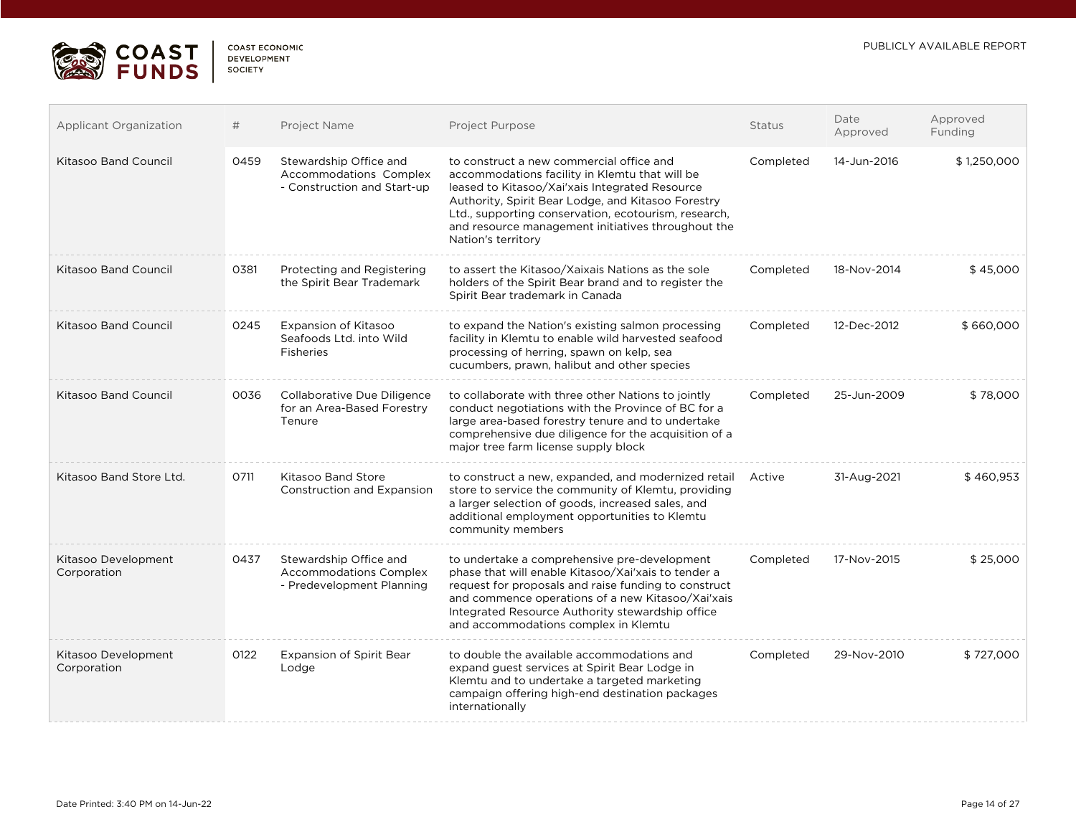

 $\mathcal{L}_{\mathcal{A}}$ 

| COAST FCONOMIC |  |
|----------------|--|
| DEVELOPMENT    |  |
| SOCIETY        |  |

| Applicant Organization             | #    | Project Name                                                                         | <b>Project Purpose</b>                                                                                                                                                                                                                                                                                                                 | <b>Status</b> | Date<br>Approved | Approved<br>Funding |
|------------------------------------|------|--------------------------------------------------------------------------------------|----------------------------------------------------------------------------------------------------------------------------------------------------------------------------------------------------------------------------------------------------------------------------------------------------------------------------------------|---------------|------------------|---------------------|
| <b>Kitasoo Band Council</b>        | 0459 | Stewardship Office and<br>Accommodations Complex<br>- Construction and Start-up      | to construct a new commercial office and<br>accommodations facility in Klemtu that will be<br>leased to Kitasoo/Xai'xais Integrated Resource<br>Authority, Spirit Bear Lodge, and Kitasoo Forestry<br>Ltd., supporting conservation, ecotourism, research,<br>and resource management initiatives throughout the<br>Nation's territory | Completed     | 14-Jun-2016      | \$1,250,000         |
| <b>Kitasoo Band Council</b>        | 0381 | Protecting and Registering<br>the Spirit Bear Trademark                              | to assert the Kitasoo/Xaixais Nations as the sole<br>holders of the Spirit Bear brand and to register the<br>Spirit Bear trademark in Canada                                                                                                                                                                                           | Completed     | 18-Nov-2014      | \$45,000            |
| <b>Kitasoo Band Council</b>        | 0245 | Expansion of Kitasoo<br>Seafoods Ltd. into Wild<br>Fisheries                         | to expand the Nation's existing salmon processing<br>facility in Klemtu to enable wild harvested seafood<br>processing of herring, spawn on kelp, sea<br>cucumbers, prawn, halibut and other species                                                                                                                                   | Completed     | 12-Dec-2012      | \$660,000           |
| <b>Kitasoo Band Council</b>        | 0036 | Collaborative Due Diligence<br>for an Area-Based Forestry<br>Tenure                  | to collaborate with three other Nations to jointly<br>conduct negotiations with the Province of BC for a<br>large area-based forestry tenure and to undertake<br>comprehensive due diligence for the acquisition of a<br>major tree farm license supply block                                                                          | Completed     | 25-Jun-2009      | \$78,000            |
| Kitasoo Band Store Ltd.            | 0711 | Kitasoo Band Store<br>Construction and Expansion                                     | to construct a new, expanded, and modernized retail<br>store to service the community of Klemtu, providing<br>a larger selection of goods, increased sales, and<br>additional employment opportunities to Klemtu<br>community members                                                                                                  | Active        | 31-Aug-2021      | \$460,953           |
| Kitasoo Development<br>Corporation | 0437 | Stewardship Office and<br><b>Accommodations Complex</b><br>- Predevelopment Planning | to undertake a comprehensive pre-development<br>phase that will enable Kitasoo/Xai'xais to tender a<br>request for proposals and raise funding to construct<br>and commence operations of a new Kitasoo/Xai'xais<br>Integrated Resource Authority stewardship office<br>and accommodations complex in Klemtu                           | Completed     | 17-Nov-2015      | \$25,000            |
| Kitasoo Development<br>Corporation | 0122 | <b>Expansion of Spirit Bear</b><br>Lodge                                             | to double the available accommodations and<br>expand guest services at Spirit Bear Lodge in<br>Klemtu and to undertake a targeted marketing<br>campaign offering high-end destination packages<br>internationally                                                                                                                      | Completed     | 29-Nov-2010      | \$727,000           |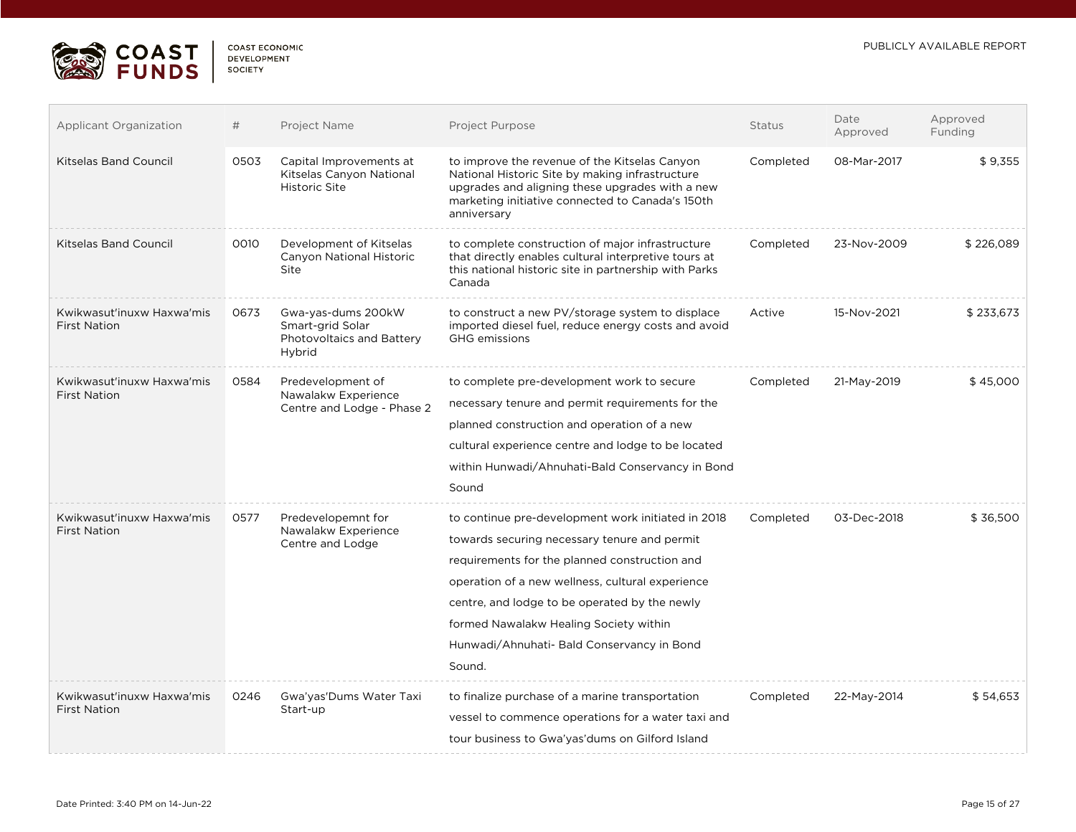

| COAST FCONOMIC     |  |
|--------------------|--|
| <b>DEVELOPMENT</b> |  |
| SOCIETY            |  |

| <b>Applicant Organization</b>                    | #    | Project Name                                                                  | Project Purpose                                                                                                                                                                                                                                                                                                                                            | <b>Status</b> | Date<br>Approved | Approved<br>Funding |
|--------------------------------------------------|------|-------------------------------------------------------------------------------|------------------------------------------------------------------------------------------------------------------------------------------------------------------------------------------------------------------------------------------------------------------------------------------------------------------------------------------------------------|---------------|------------------|---------------------|
| <b>Kitselas Band Council</b>                     | 0503 | Capital Improvements at<br>Kitselas Canyon National<br><b>Historic Site</b>   | to improve the revenue of the Kitselas Canyon<br>National Historic Site by making infrastructure<br>upgrades and aligning these upgrades with a new<br>marketing initiative connected to Canada's 150th<br>anniversary                                                                                                                                     | Completed     | 08-Mar-2017      | \$9,355             |
| Kitselas Band Council                            | 0010 | Development of Kitselas<br>Canyon National Historic<br>Site                   | to complete construction of major infrastructure<br>that directly enables cultural interpretive tours at<br>this national historic site in partnership with Parks<br>Canada                                                                                                                                                                                | Completed     | 23-Nov-2009      | \$226,089           |
| Kwikwasut'inuxw Haxwa'mis<br><b>First Nation</b> | 0673 | Gwa-yas-dums 200kW<br>Smart-grid Solar<br>Photovoltaics and Battery<br>Hybrid | to construct a new PV/storage system to displace<br>imported diesel fuel, reduce energy costs and avoid<br><b>GHG</b> emissions                                                                                                                                                                                                                            | Active        | 15-Nov-2021      | \$233,673           |
| Kwikwasut'inuxw Haxwa'mis<br><b>First Nation</b> | 0584 | Predevelopment of<br>Nawalakw Experience<br>Centre and Lodge - Phase 2        | to complete pre-development work to secure<br>necessary tenure and permit requirements for the<br>planned construction and operation of a new<br>cultural experience centre and lodge to be located<br>within Hunwadi/Ahnuhati-Bald Conservancy in Bond<br>Sound                                                                                           | Completed     | 21-May-2019      | \$45,000            |
| Kwikwasut'inuxw Haxwa'mis<br><b>First Nation</b> | 0577 | Predevelopemnt for<br>Nawalakw Experience<br>Centre and Lodge                 | to continue pre-development work initiated in 2018<br>towards securing necessary tenure and permit<br>requirements for the planned construction and<br>operation of a new wellness, cultural experience<br>centre, and lodge to be operated by the newly<br>formed Nawalakw Healing Society within<br>Hunwadi/Ahnuhati- Bald Conservancy in Bond<br>Sound. | Completed     | 03-Dec-2018      | \$36,500            |
| Kwikwasut'inuxw Haxwa'mis<br><b>First Nation</b> | 0246 | Gwa'yas'Dums Water Taxi<br>Start-up                                           | to finalize purchase of a marine transportation<br>vessel to commence operations for a water taxi and<br>tour business to Gwa'yas'dums on Gilford Island                                                                                                                                                                                                   | Completed     | 22-May-2014      | \$54,653            |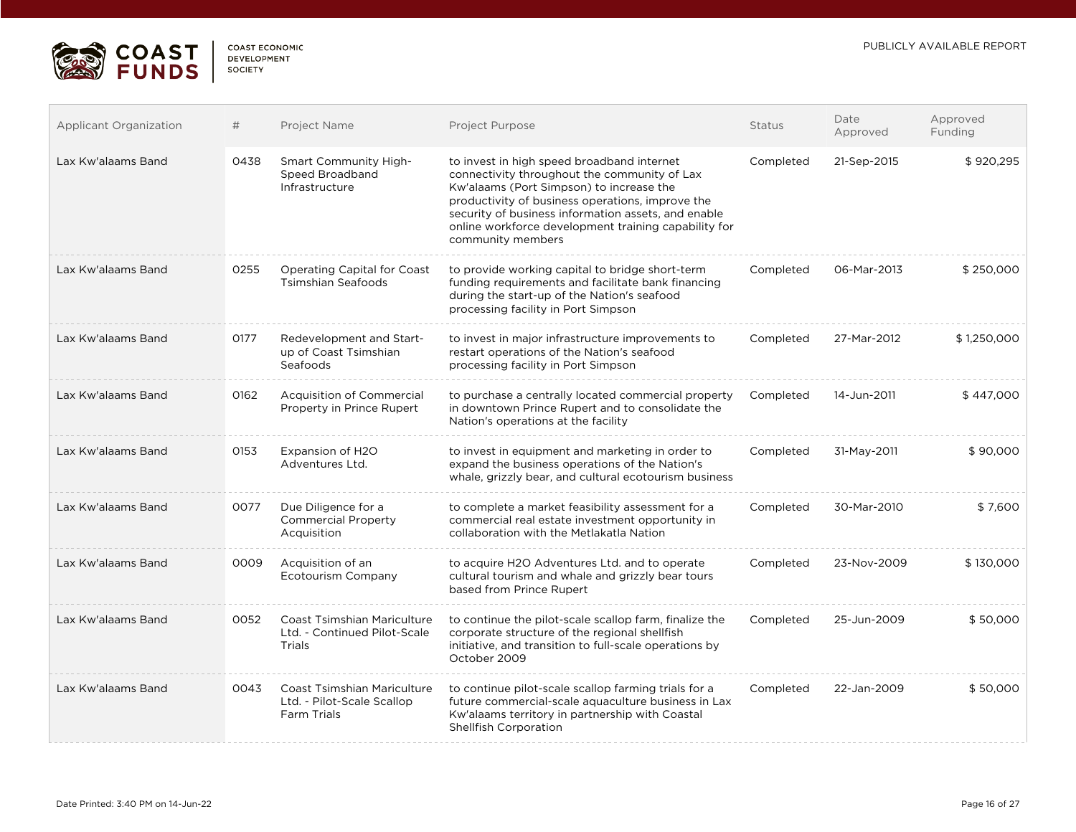

| <b>COAST ECONOMIC</b> |
|-----------------------|
| <b>DEVELOPMENT</b>    |
| <b>SOCIETY</b>        |

| <b>Applicant Organization</b> | #    | Project Name                                                                           | <b>Project Purpose</b>                                                                                                                                                                                                                                                                                                         | <b>Status</b> | Date<br>Approved | Approved<br>Funding |
|-------------------------------|------|----------------------------------------------------------------------------------------|--------------------------------------------------------------------------------------------------------------------------------------------------------------------------------------------------------------------------------------------------------------------------------------------------------------------------------|---------------|------------------|---------------------|
| Lax Kw'alaams Band            | 0438 | Smart Community High-<br>Speed Broadband<br>Infrastructure                             | to invest in high speed broadband internet<br>connectivity throughout the community of Lax<br>Kw'alaams (Port Simpson) to increase the<br>productivity of business operations, improve the<br>security of business information assets, and enable<br>online workforce development training capability for<br>community members | Completed     | 21-Sep-2015      | \$920,295           |
| Lax Kw'alaams Band            | 0255 | Operating Capital for Coast<br><b>Tsimshian Seafoods</b>                               | to provide working capital to bridge short-term<br>funding requirements and facilitate bank financing<br>during the start-up of the Nation's seafood<br>processing facility in Port Simpson                                                                                                                                    | Completed     | 06-Mar-2013      | \$250,000           |
| Lax Kw'alaams Band            | 0177 | Redevelopment and Start-<br>up of Coast Tsimshian<br>Seafoods                          | to invest in major infrastructure improvements to<br>restart operations of the Nation's seafood<br>processing facility in Port Simpson                                                                                                                                                                                         | Completed     | 27-Mar-2012      | \$1,250,000         |
| Lax Kw'alaams Band            | 0162 | <b>Acquisition of Commercial</b><br>Property in Prince Rupert                          | to purchase a centrally located commercial property<br>in downtown Prince Rupert and to consolidate the<br>Nation's operations at the facility                                                                                                                                                                                 | Completed     | 14-Jun-2011      | \$447,000           |
| Lax Kw'alaams Band            | 0153 | Expansion of H2O<br>Adventures Ltd.                                                    | to invest in equipment and marketing in order to<br>expand the business operations of the Nation's<br>whale, grizzly bear, and cultural ecotourism business                                                                                                                                                                    | Completed     | 31-May-2011      | \$90,000            |
| Lax Kw'alaams Band            | 0077 | Due Diligence for a<br><b>Commercial Property</b><br>Acquisition                       | to complete a market feasibility assessment for a<br>commercial real estate investment opportunity in<br>collaboration with the Metlakatla Nation                                                                                                                                                                              | Completed     | 30-Mar-2010      | \$7,600             |
| Lax Kw'alaams Band            | 0009 | Acquisition of an<br><b>Ecotourism Company</b>                                         | to acquire H2O Adventures Ltd. and to operate<br>cultural tourism and whale and grizzly bear tours<br>based from Prince Rupert                                                                                                                                                                                                 | Completed     | 23-Nov-2009      | \$130,000           |
| Lax Kw'alaams Band            | 0052 | <b>Coast Tsimshian Mariculture</b><br>Ltd. - Continued Pilot-Scale<br>Trials           | to continue the pilot-scale scallop farm, finalize the<br>corporate structure of the regional shellfish<br>initiative, and transition to full-scale operations by<br>October 2009                                                                                                                                              | Completed     | 25-Jun-2009      | \$50,000            |
| Lax Kw'alaams Band            | 0043 | <b>Coast Tsimshian Mariculture</b><br>Ltd. - Pilot-Scale Scallop<br><b>Farm Trials</b> | to continue pilot-scale scallop farming trials for a<br>future commercial-scale aquaculture business in Lax<br>Kw'alaams territory in partnership with Coastal<br>Shellfish Corporation                                                                                                                                        | Completed     | 22-Jan-2009      | \$50,000            |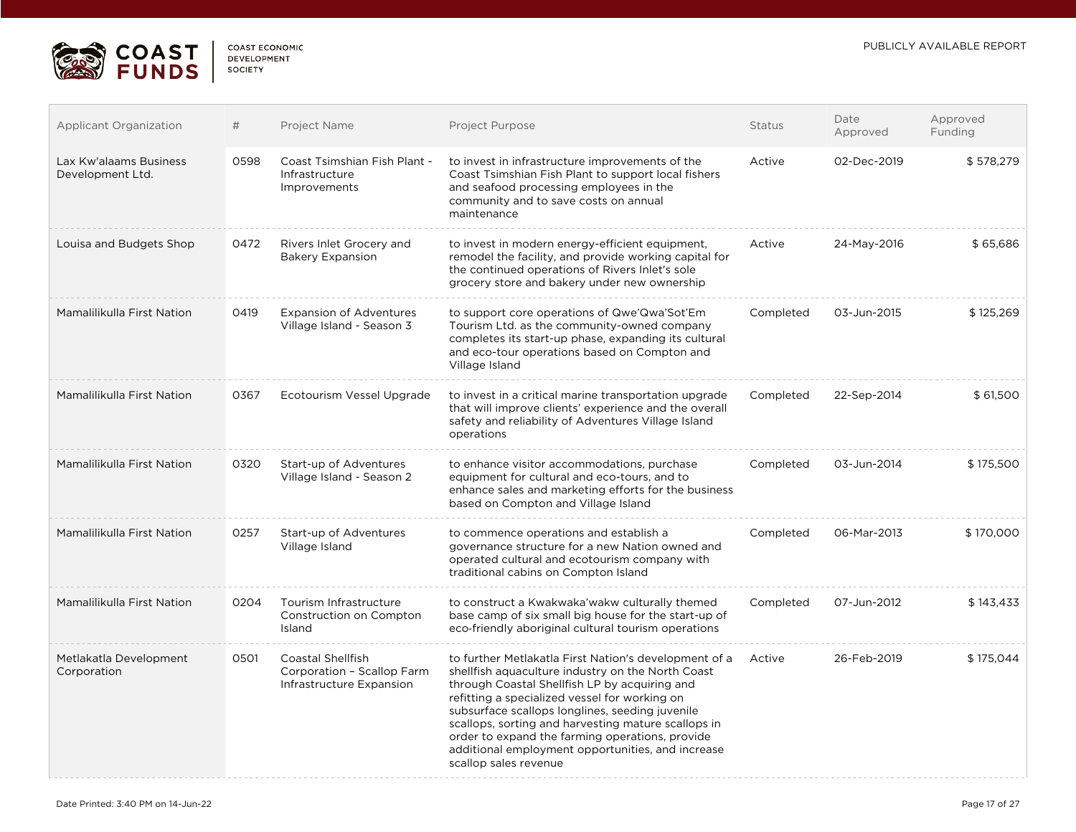

 $\overline{\mathcal{L}^{\mathcal{A}}(\mathcal{A})}$ 

| <b>COAST ECONOMIC</b> |
|-----------------------|
| <b>DEVELOPMENT</b>    |
| SOCIETY               |

| <b>Applicant Organization</b>              | #    | Project Name                                                                | Project Purpose                                                                                                                                                                                                                                                                                                                                                                                                                                         | Status    | Date<br>Approved | Approved<br>Funding |
|--------------------------------------------|------|-----------------------------------------------------------------------------|---------------------------------------------------------------------------------------------------------------------------------------------------------------------------------------------------------------------------------------------------------------------------------------------------------------------------------------------------------------------------------------------------------------------------------------------------------|-----------|------------------|---------------------|
| Lax Kw'alaams Business<br>Development Ltd. | 0598 | Coast Tsimshian Fish Plant -<br>Infrastructure<br>Improvements              | to invest in infrastructure improvements of the<br>Coast Tsimshian Fish Plant to support local fishers<br>and seafood processing employees in the<br>community and to save costs on annual<br>maintenance                                                                                                                                                                                                                                               | Active    | 02-Dec-2019      | \$578,279           |
| Louisa and Budgets Shop                    | 0472 | Rivers Inlet Grocery and<br><b>Bakery Expansion</b>                         | to invest in modern energy-efficient equipment,<br>remodel the facility, and provide working capital for<br>the continued operations of Rivers Inlet's sole<br>grocery store and bakery under new ownership                                                                                                                                                                                                                                             | Active    | 24-May-2016      | \$65,686            |
| Mamalilikulla First Nation                 | 0419 | <b>Expansion of Adventures</b><br>Village Island - Season 3                 | to support core operations of Qwe'Qwa'Sot'Em<br>Tourism Ltd. as the community-owned company<br>completes its start-up phase, expanding its cultural<br>and eco-tour operations based on Compton and<br>Village Island                                                                                                                                                                                                                                   | Completed | 03-Jun-2015      | \$125,269           |
| Mamalilikulla First Nation                 | 0367 | Ecotourism Vessel Upgrade                                                   | to invest in a critical marine transportation upgrade<br>that will improve clients' experience and the overall<br>safety and reliability of Adventures Village Island<br>operations                                                                                                                                                                                                                                                                     | Completed | 22-Sep-2014      | \$61,500            |
| Mamalilikulla First Nation                 | 0320 | Start-up of Adventures<br>Village Island - Season 2                         | to enhance visitor accommodations, purchase<br>equipment for cultural and eco-tours, and to<br>enhance sales and marketing efforts for the business<br>based on Compton and Village Island                                                                                                                                                                                                                                                              | Completed | 03-Jun-2014      | \$175,500           |
| Mamalilikulla First Nation                 | 0257 | Start-up of Adventures<br>Village Island                                    | to commence operations and establish a<br>governance structure for a new Nation owned and<br>operated cultural and ecotourism company with<br>traditional cabins on Compton Island                                                                                                                                                                                                                                                                      | Completed | 06-Mar-2013      | \$170,000           |
| Mamalilikulla First Nation                 | 0204 | Tourism Infrastructure<br>Construction on Compton<br>Island                 | to construct a Kwakwaka'wakw culturally themed<br>base camp of six small big house for the start-up of<br>eco-friendly aboriginal cultural tourism operations                                                                                                                                                                                                                                                                                           | Completed | 07-Jun-2012      | \$143,433           |
| Metlakatla Development<br>Corporation      | 0501 | Coastal Shellfish<br>Corporation - Scallop Farm<br>Infrastructure Expansion | to further Metlakatla First Nation's development of a<br>shellfish aquaculture industry on the North Coast<br>through Coastal Shellfish LP by acquiring and<br>refitting a specialized vessel for working on<br>subsurface scallops longlines, seeding juvenile<br>scallops, sorting and harvesting mature scallops in<br>order to expand the farming operations, provide<br>additional employment opportunities, and increase<br>scallop sales revenue | Active    | 26-Feb-2019      | \$175,044           |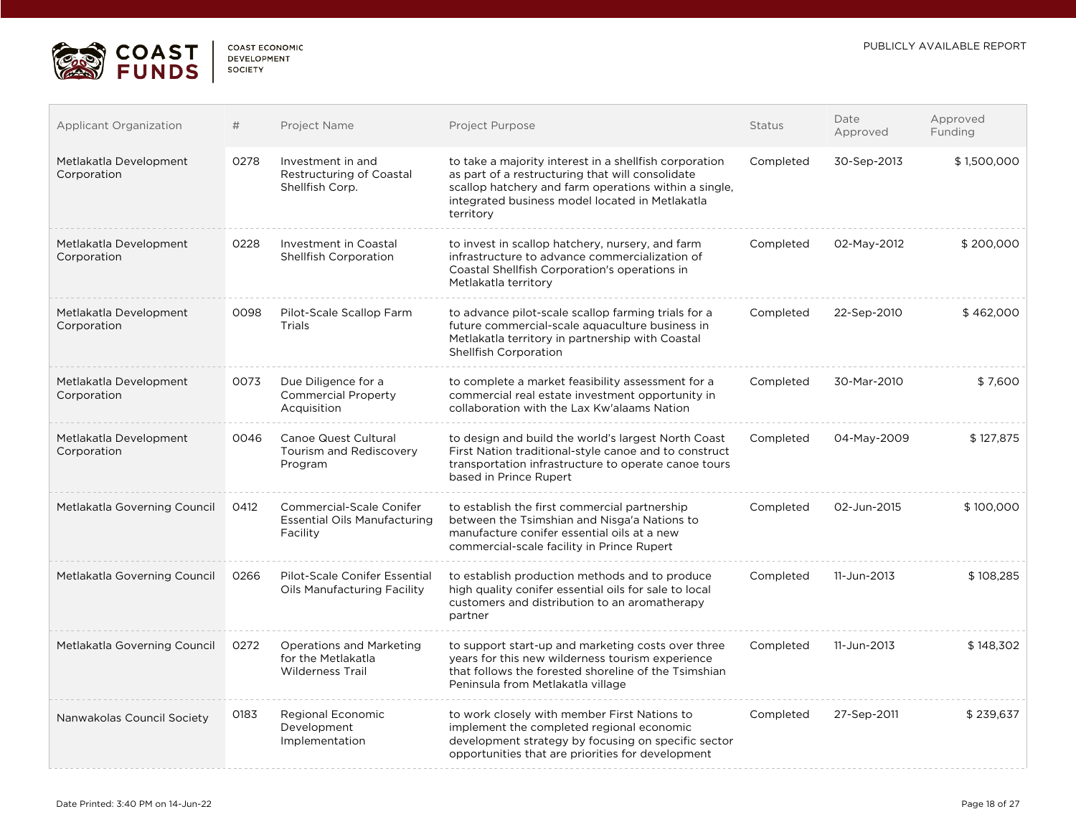

| COAST FCONOMIC     |  |
|--------------------|--|
| <b>DEVELOPMENT</b> |  |
| <b>SOCIETY</b>     |  |

| <b>Applicant Organization</b>         | #    | Project Name                                                                       | Project Purpose                                                                                                                                                                                                                     | Status    | Date<br>Approved | Approved<br>Funding |
|---------------------------------------|------|------------------------------------------------------------------------------------|-------------------------------------------------------------------------------------------------------------------------------------------------------------------------------------------------------------------------------------|-----------|------------------|---------------------|
| Metlakatla Development<br>Corporation | 0278 | Investment in and<br>Restructuring of Coastal<br>Shellfish Corp.                   | to take a majority interest in a shellfish corporation<br>as part of a restructuring that will consolidate<br>scallop hatchery and farm operations within a single,<br>integrated business model located in Metlakatla<br>territory | Completed | 30-Sep-2013      | \$1,500,000         |
| Metlakatla Development<br>Corporation | 0228 | Investment in Coastal<br>Shellfish Corporation                                     | to invest in scallop hatchery, nursery, and farm<br>infrastructure to advance commercialization of<br>Coastal Shellfish Corporation's operations in<br>Metlakatla territory                                                         | Completed | 02-May-2012      | \$200,000           |
| Metlakatla Development<br>Corporation | 0098 | Pilot-Scale Scallop Farm<br>Trials                                                 | to advance pilot-scale scallop farming trials for a<br>future commercial-scale aquaculture business in<br>Metlakatla territory in partnership with Coastal<br>Shellfish Corporation                                                 | Completed | 22-Sep-2010      | \$462,000           |
| Metlakatla Development<br>Corporation | 0073 | Due Diligence for a<br><b>Commercial Property</b><br>Acquisition                   | to complete a market feasibility assessment for a<br>commercial real estate investment opportunity in<br>collaboration with the Lax Kw'alaams Nation                                                                                | Completed | 30-Mar-2010      | \$7,600             |
| Metlakatla Development<br>Corporation | 0046 | Canoe Quest Cultural<br>Tourism and Rediscovery<br>Program                         | to design and build the world's largest North Coast<br>First Nation traditional-style canoe and to construct<br>transportation infrastructure to operate canoe tours<br>based in Prince Rupert                                      | Completed | 04-May-2009      | \$127,875           |
| Metlakatla Governing Council          | 0412 | <b>Commercial-Scale Conifer</b><br><b>Essential Oils Manufacturing</b><br>Facility | to establish the first commercial partnership<br>between the Tsimshian and Nisga'a Nations to<br>manufacture conifer essential oils at a new<br>commercial-scale facility in Prince Rupert                                          | Completed | 02-Jun-2015      | \$100,000           |
| Metlakatla Governing Council          | 0266 | Pilot-Scale Conifer Essential<br>Oils Manufacturing Facility                       | to establish production methods and to produce<br>high quality conifer essential oils for sale to local<br>customers and distribution to an aromatherapy<br>partner                                                                 | Completed | 11-Jun-2013      | \$108.285           |
| Metlakatla Governing Council          | 0272 | <b>Operations and Marketing</b><br>for the Metlakatla<br><b>Wilderness Trail</b>   | to support start-up and marketing costs over three<br>years for this new wilderness tourism experience<br>that follows the forested shoreline of the Tsimshian<br>Peninsula from Metlakatla village                                 | Completed | 11-Jun-2013      | \$148,302           |
| Nanwakolas Council Society            | 0183 | Regional Economic<br>Development<br>Implementation                                 | to work closely with member First Nations to<br>implement the completed regional economic<br>development strategy by focusing on specific sector<br>opportunities that are priorities for development                               | Completed | 27-Sep-2011      | \$239,637           |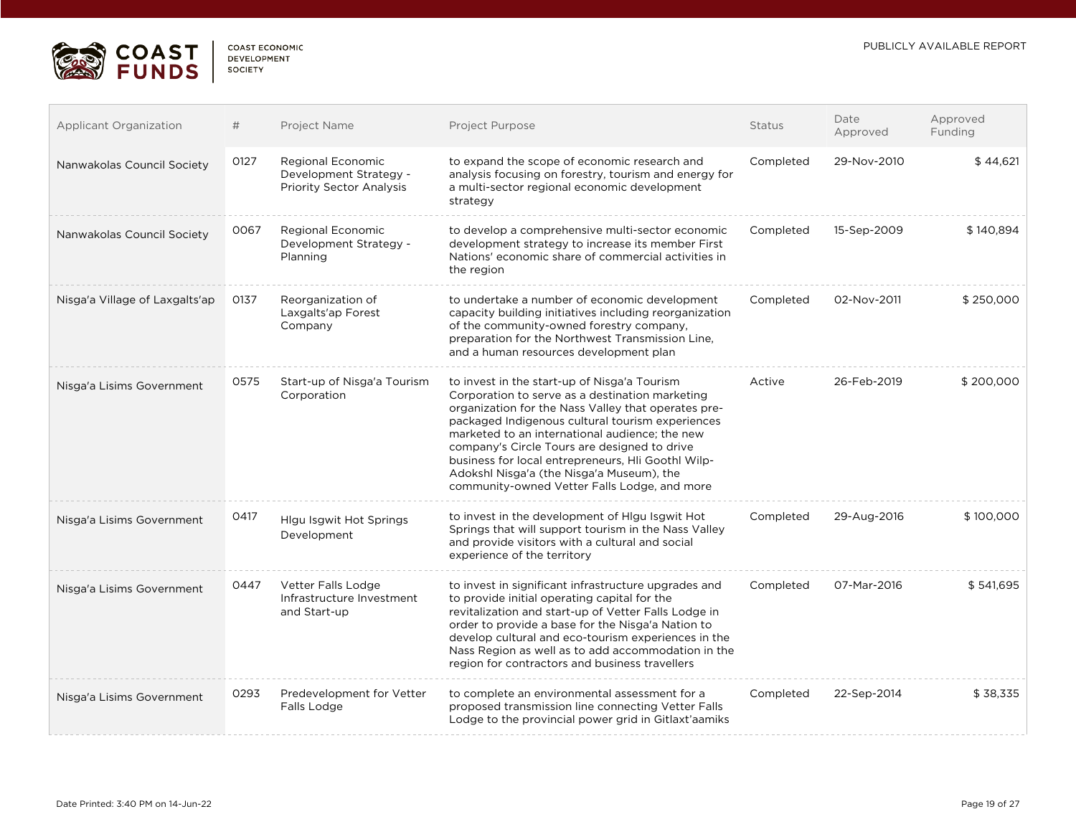

| <b>COAST ECONOMIC</b> |
|-----------------------|
| <b>DEVELOPMENT</b>    |
| SOCIETY               |
|                       |

| Applicant Organization         | #    | Project Name                                                                   | Project Purpose                                                                                                                                                                                                                                                                                                                                                                                                                                                 | <b>Status</b> | Date<br>Approved | Approved<br>Funding |
|--------------------------------|------|--------------------------------------------------------------------------------|-----------------------------------------------------------------------------------------------------------------------------------------------------------------------------------------------------------------------------------------------------------------------------------------------------------------------------------------------------------------------------------------------------------------------------------------------------------------|---------------|------------------|---------------------|
| Nanwakolas Council Society     | 0127 | Regional Economic<br>Development Strategy -<br><b>Priority Sector Analysis</b> | to expand the scope of economic research and<br>analysis focusing on forestry, tourism and energy for<br>a multi-sector regional economic development<br>strategy                                                                                                                                                                                                                                                                                               | Completed     | 29-Nov-2010      | \$44,621            |
| Nanwakolas Council Society     | 0067 | Regional Economic<br>Development Strategy -<br>Planning                        | to develop a comprehensive multi-sector economic<br>development strategy to increase its member First<br>Nations' economic share of commercial activities in<br>the region                                                                                                                                                                                                                                                                                      | Completed     | 15-Sep-2009      | \$140,894           |
| Nisga'a Village of Laxgalts'ap | 0137 | Reorganization of<br>Laxgalts'ap Forest<br>Company                             | to undertake a number of economic development<br>capacity building initiatives including reorganization<br>of the community-owned forestry company,<br>preparation for the Northwest Transmission Line,<br>and a human resources development plan                                                                                                                                                                                                               | Completed     | 02-Nov-2011      | \$250,000           |
| Nisga'a Lisims Government      | 0575 | Start-up of Nisga'a Tourism<br>Corporation                                     | to invest in the start-up of Nisga'a Tourism<br>Corporation to serve as a destination marketing<br>organization for the Nass Valley that operates pre-<br>packaged Indigenous cultural tourism experiences<br>marketed to an international audience; the new<br>company's Circle Tours are designed to drive<br>business for local entrepreneurs, HII Goothl Wilp-<br>Adokshl Nisga'a (the Nisga'a Museum), the<br>community-owned Vetter Falls Lodge, and more | Active        | 26-Feb-2019      | \$200,000           |
| Nisga'a Lisims Government      | 0417 | Hlgu Isgwit Hot Springs<br>Development                                         | to invest in the development of Higu Isgwit Hot<br>Springs that will support tourism in the Nass Valley<br>and provide visitors with a cultural and social<br>experience of the territory                                                                                                                                                                                                                                                                       | Completed     | 29-Aug-2016      | \$100,000           |
| Nisga'a Lisims Government      | 0447 | Vetter Falls Lodge<br>Infrastructure Investment<br>and Start-up                | to invest in significant infrastructure upgrades and<br>to provide initial operating capital for the<br>revitalization and start-up of Vetter Falls Lodge in<br>order to provide a base for the Nisga'a Nation to<br>develop cultural and eco-tourism experiences in the<br>Nass Region as well as to add accommodation in the<br>region for contractors and business travellers                                                                                | Completed     | 07-Mar-2016      | \$541,695           |
| Nisga'a Lisims Government      | 0293 | Predevelopment for Vetter<br>Falls Lodge                                       | to complete an environmental assessment for a<br>proposed transmission line connecting Vetter Falls<br>Lodge to the provincial power grid in Gitlaxt'aamiks                                                                                                                                                                                                                                                                                                     | Completed     | 22-Sep-2014      | \$38,335            |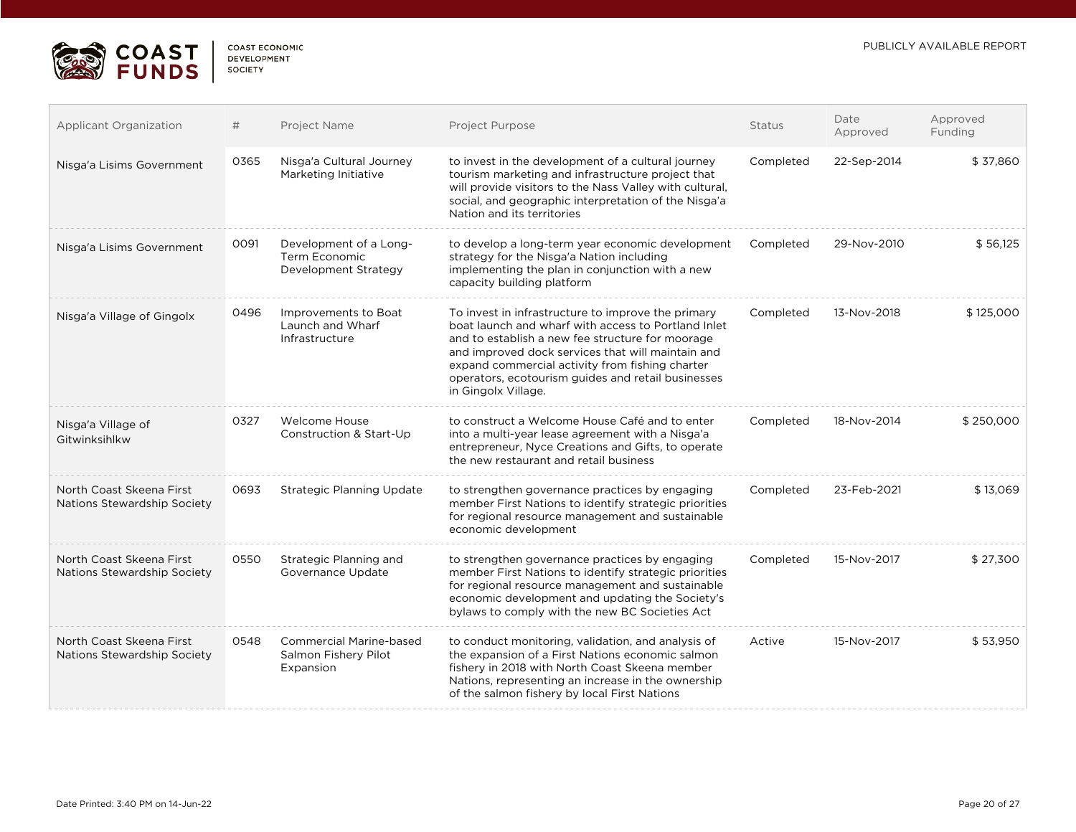

| COAST FCONOMIC |
|----------------|
| DEVELOPMENT    |
| SOCIETY        |

| <b>Applicant Organization</b>                           | #    | Project Name                                                        | Project Purpose                                                                                                                                                                                                                                                                                                                                    | <b>Status</b> | Date<br>Approved | Approved<br>Funding |
|---------------------------------------------------------|------|---------------------------------------------------------------------|----------------------------------------------------------------------------------------------------------------------------------------------------------------------------------------------------------------------------------------------------------------------------------------------------------------------------------------------------|---------------|------------------|---------------------|
| Nisga'a Lisims Government                               | 0365 | Nisga'a Cultural Journey<br>Marketing Initiative                    | to invest in the development of a cultural journey<br>tourism marketing and infrastructure project that<br>will provide visitors to the Nass Valley with cultural,<br>social, and geographic interpretation of the Nisga'a<br>Nation and its territories                                                                                           | Completed     | 22-Sep-2014      | \$37,860            |
| Nisga'a Lisims Government                               | 0091 | Development of a Long-<br>Term Economic<br>Development Strategy     | to develop a long-term year economic development<br>strategy for the Nisga'a Nation including<br>implementing the plan in conjunction with a new<br>capacity building platform                                                                                                                                                                     | Completed     | 29-Nov-2010      | \$56,125            |
| Nisga'a Village of Gingolx                              | 0496 | Improvements to Boat<br>Launch and Wharf<br>Infrastructure          | To invest in infrastructure to improve the primary<br>boat launch and wharf with access to Portland Inlet<br>and to establish a new fee structure for moorage<br>and improved dock services that will maintain and<br>expand commercial activity from fishing charter<br>operators, ecotourism guides and retail businesses<br>in Gingolx Village. | Completed     | 13-Nov-2018      | \$125,000           |
| Nisga'a Village of<br>Gitwinksihlkw                     | 0327 | Welcome House<br>Construction & Start-Up                            | to construct a Welcome House Café and to enter<br>into a multi-year lease agreement with a Nisga'a<br>entrepreneur, Nyce Creations and Gifts, to operate<br>the new restaurant and retail business                                                                                                                                                 | Completed     | 18-Nov-2014      | \$250,000           |
| North Coast Skeena First<br>Nations Stewardship Society | 0693 | <b>Strategic Planning Update</b>                                    | to strengthen governance practices by engaging<br>member First Nations to identify strategic priorities<br>for regional resource management and sustainable<br>economic development                                                                                                                                                                | Completed     | 23-Feb-2021      | \$13,069            |
| North Coast Skeena First<br>Nations Stewardship Society | 0550 | Strategic Planning and<br>Governance Update                         | to strengthen governance practices by engaging<br>member First Nations to identify strategic priorities<br>for regional resource management and sustainable<br>economic development and updating the Society's<br>bylaws to comply with the new BC Societies Act                                                                                   | Completed     | 15-Nov-2017      | \$27,300            |
| North Coast Skeena First<br>Nations Stewardship Society | 0548 | <b>Commercial Marine-based</b><br>Salmon Fishery Pilot<br>Expansion | to conduct monitoring, validation, and analysis of<br>the expansion of a First Nations economic salmon<br>fishery in 2018 with North Coast Skeena member<br>Nations, representing an increase in the ownership<br>of the salmon fishery by local First Nations                                                                                     | Active        | 15-Nov-2017      | \$53,950            |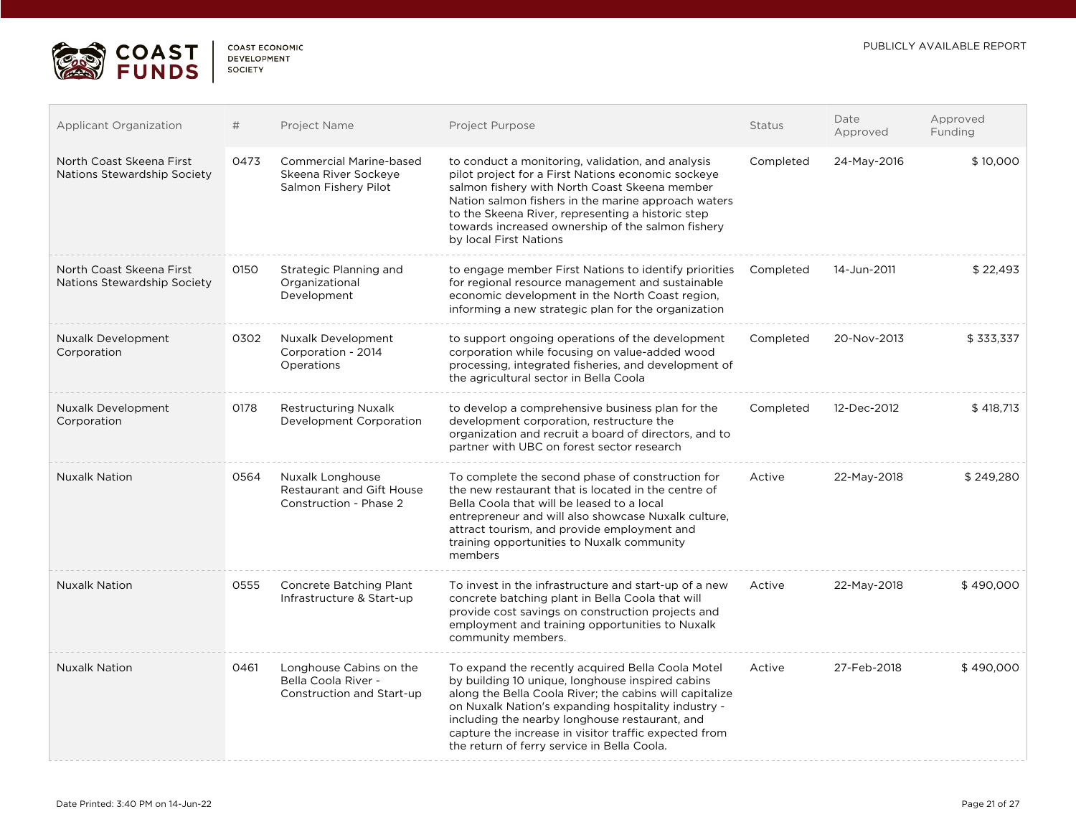

| <b>COAST ECONOMIC</b> |
|-----------------------|
| <b>DEVELOPMENT</b>    |
| <b>SOCIETY</b>        |

| <b>Applicant Organization</b>                           | #    | Project Name                                                                   | Project Purpose                                                                                                                                                                                                                                                                                                                                                                   | Status    | Date<br>Approved | Approved<br>Funding |
|---------------------------------------------------------|------|--------------------------------------------------------------------------------|-----------------------------------------------------------------------------------------------------------------------------------------------------------------------------------------------------------------------------------------------------------------------------------------------------------------------------------------------------------------------------------|-----------|------------------|---------------------|
| North Coast Skeena First<br>Nations Stewardship Society | 0473 | <b>Commercial Marine-based</b><br>Skeena River Sockeye<br>Salmon Fishery Pilot | to conduct a monitoring, validation, and analysis<br>pilot project for a First Nations economic sockeye<br>salmon fishery with North Coast Skeena member<br>Nation salmon fishers in the marine approach waters<br>to the Skeena River, representing a historic step<br>towards increased ownership of the salmon fishery<br>by local First Nations                               | Completed | 24-May-2016      | \$10,000            |
| North Coast Skeena First<br>Nations Stewardship Society | 0150 | Strategic Planning and<br>Organizational<br>Development                        | to engage member First Nations to identify priorities<br>for regional resource management and sustainable<br>economic development in the North Coast region.<br>informing a new strategic plan for the organization                                                                                                                                                               | Completed | 14-Jun-2011      | \$22,493            |
| <b>Nuxalk Development</b><br>Corporation                | 0302 | Nuxalk Development<br>Corporation - 2014<br>Operations                         | to support ongoing operations of the development<br>corporation while focusing on value-added wood<br>processing, integrated fisheries, and development of<br>the agricultural sector in Bella Coola                                                                                                                                                                              | Completed | 20-Nov-2013      | \$333,337           |
| Nuxalk Development<br>Corporation                       | 0178 | <b>Restructuring Nuxalk</b><br>Development Corporation                         | to develop a comprehensive business plan for the<br>development corporation, restructure the<br>organization and recruit a board of directors, and to<br>partner with UBC on forest sector research                                                                                                                                                                               | Completed | 12-Dec-2012      | \$418.713           |
| <b>Nuxalk Nation</b>                                    | 0564 | Nuxalk Longhouse<br><b>Restaurant and Gift House</b><br>Construction - Phase 2 | To complete the second phase of construction for<br>the new restaurant that is located in the centre of<br>Bella Coola that will be leased to a local<br>entrepreneur and will also showcase Nuxalk culture.<br>attract tourism, and provide employment and<br>training opportunities to Nuxalk community<br>members                                                              | Active    | 22-May-2018      | \$249,280           |
| <b>Nuxalk Nation</b>                                    | 0555 | Concrete Batching Plant<br>Infrastructure & Start-up                           | To invest in the infrastructure and start-up of a new<br>concrete batching plant in Bella Coola that will<br>provide cost savings on construction projects and<br>employment and training opportunities to Nuxalk<br>community members.                                                                                                                                           | Active    | 22-May-2018      | \$490,000           |
| <b>Nuxalk Nation</b>                                    | 0461 | Longhouse Cabins on the<br>Bella Coola River -<br>Construction and Start-up    | To expand the recently acquired Bella Coola Motel<br>by building 10 unique, longhouse inspired cabins<br>along the Bella Coola River; the cabins will capitalize<br>on Nuxalk Nation's expanding hospitality industry -<br>including the nearby longhouse restaurant, and<br>capture the increase in visitor traffic expected from<br>the return of ferry service in Bella Coola. | Active    | 27-Feb-2018      | \$490,000           |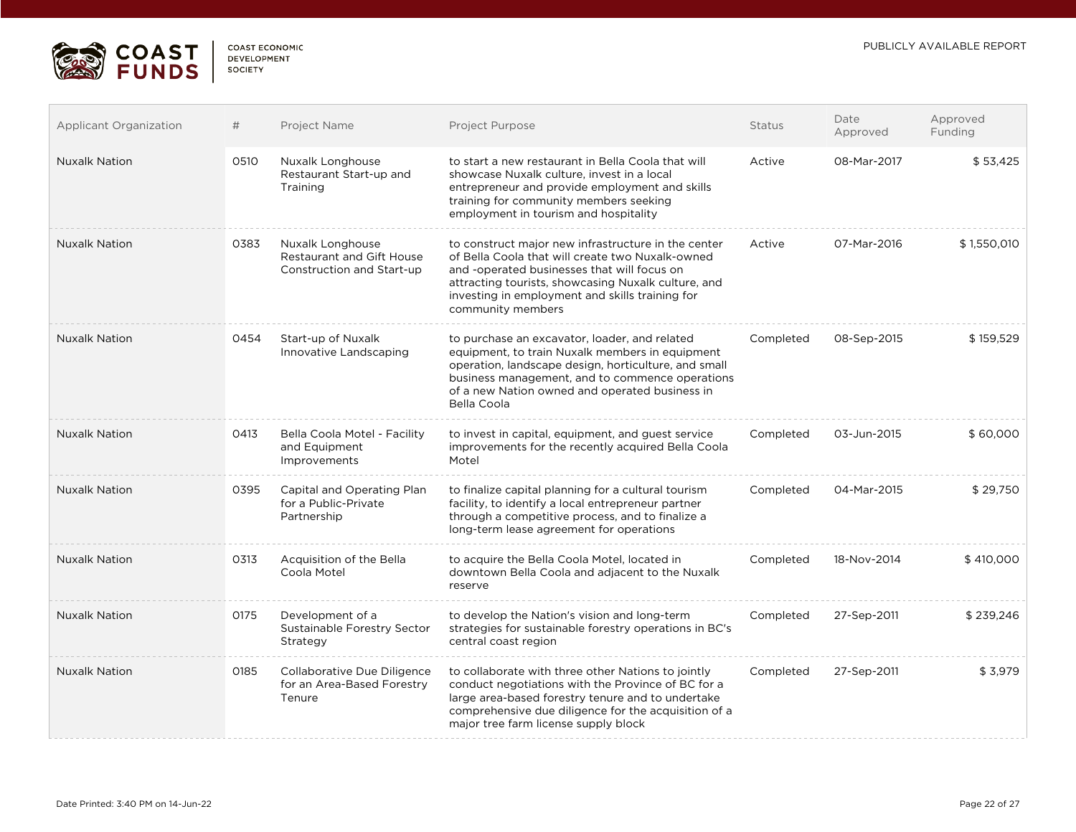

| <b>COAST ECONOMIC</b> |  |
|-----------------------|--|
| DEVELOPMENT           |  |
| <b>SOCIETY</b>        |  |

| <b>Applicant Organization</b> | #    | Project Name                                                                      | Project Purpose                                                                                                                                                                                                                                                                       | <b>Status</b> | Date<br>Approved | Approved<br>Funding |
|-------------------------------|------|-----------------------------------------------------------------------------------|---------------------------------------------------------------------------------------------------------------------------------------------------------------------------------------------------------------------------------------------------------------------------------------|---------------|------------------|---------------------|
| <b>Nuxalk Nation</b>          | 0510 | Nuxalk Longhouse<br>Restaurant Start-up and<br>Training                           | to start a new restaurant in Bella Coola that will<br>showcase Nuxalk culture, invest in a local<br>entrepreneur and provide employment and skills<br>training for community members seeking<br>employment in tourism and hospitality                                                 | Active        | 08-Mar-2017      | \$53,425            |
| <b>Nuxalk Nation</b>          | 0383 | Nuxalk Longhouse<br><b>Restaurant and Gift House</b><br>Construction and Start-up | to construct major new infrastructure in the center<br>of Bella Coola that will create two Nuxalk-owned<br>and -operated businesses that will focus on<br>attracting tourists, showcasing Nuxalk culture, and<br>investing in employment and skills training for<br>community members | Active        | 07-Mar-2016      | \$1,550,010         |
| <b>Nuxalk Nation</b>          | 0454 | Start-up of Nuxalk<br>Innovative Landscaping                                      | to purchase an excavator, loader, and related<br>equipment, to train Nuxalk members in equipment<br>operation, landscape design, horticulture, and small<br>business management, and to commence operations<br>of a new Nation owned and operated business in<br>Bella Coola          | Completed     | 08-Sep-2015      | \$159,529           |
| <b>Nuxalk Nation</b>          | 0413 | Bella Coola Motel - Facility<br>and Equipment<br>Improvements                     | to invest in capital, equipment, and guest service<br>improvements for the recently acquired Bella Coola<br>Motel                                                                                                                                                                     | Completed     | 03-Jun-2015      | \$60,000            |
| <b>Nuxalk Nation</b>          | 0395 | Capital and Operating Plan<br>for a Public-Private<br>Partnership                 | to finalize capital planning for a cultural tourism<br>facility, to identify a local entrepreneur partner<br>through a competitive process, and to finalize a<br>long-term lease agreement for operations                                                                             | Completed     | 04-Mar-2015      | \$29.750            |
| <b>Nuxalk Nation</b>          | 0313 | Acquisition of the Bella<br>Coola Motel                                           | to acquire the Bella Coola Motel, located in<br>downtown Bella Coola and adjacent to the Nuxalk<br>reserve                                                                                                                                                                            | Completed     | 18-Nov-2014      | \$410,000           |
| <b>Nuxalk Nation</b>          | 0175 | Development of a<br>Sustainable Forestry Sector<br>Strategy                       | to develop the Nation's vision and long-term<br>strategies for sustainable forestry operations in BC's<br>central coast region                                                                                                                                                        | Completed     | 27-Sep-2011      | \$239,246           |
| <b>Nuxalk Nation</b>          | 0185 | Collaborative Due Diligence<br>for an Area-Based Forestry<br>Tenure               | to collaborate with three other Nations to jointly<br>conduct negotiations with the Province of BC for a<br>large area-based forestry tenure and to undertake<br>comprehensive due diligence for the acquisition of a<br>major tree farm license supply block                         | Completed     | 27-Sep-2011      | \$3,979             |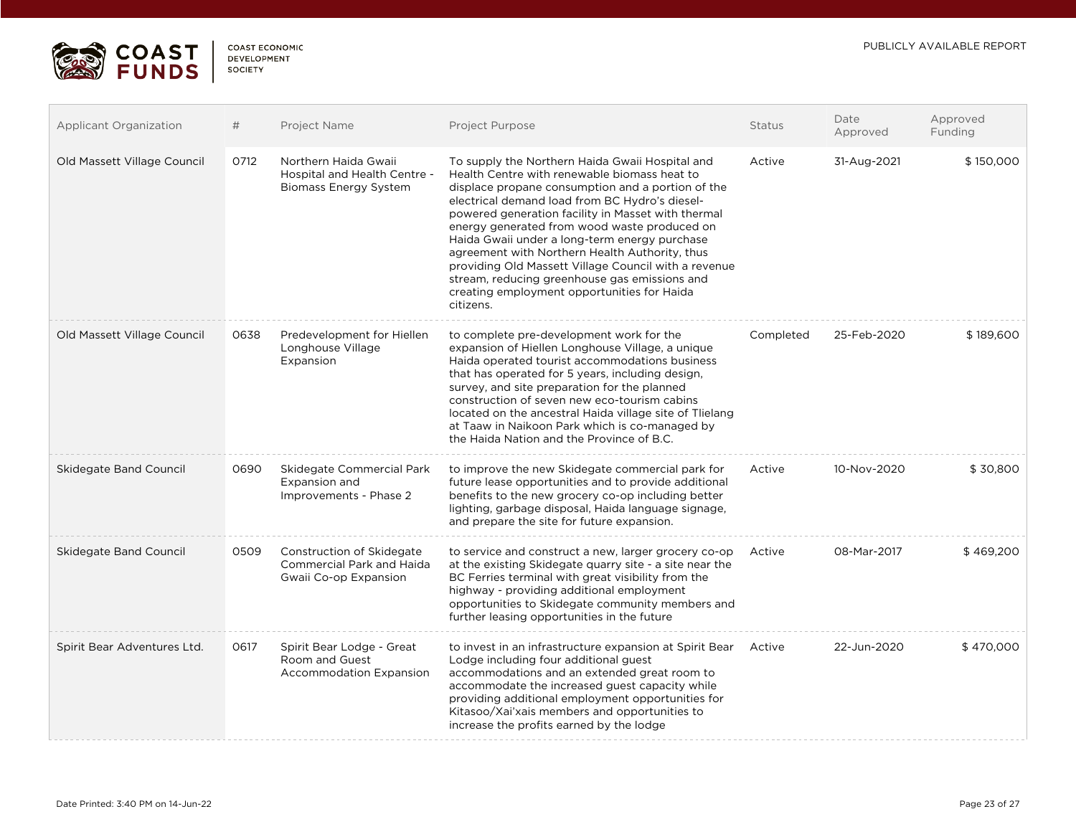

 $\Box$ 

| <b>COAST ECONOMIC</b> |
|-----------------------|
| <b>DEVELOPMENT</b>    |
| <b>SOCIETY</b>        |
|                       |

| <b>Applicant Organization</b> | #    | Project Name                                                                           | Project Purpose                                                                                                                                                                                                                                                                                                                                                                                                                                                                                                                                                                      | <b>Status</b> | Date<br>Approved | Approved<br>Funding |
|-------------------------------|------|----------------------------------------------------------------------------------------|--------------------------------------------------------------------------------------------------------------------------------------------------------------------------------------------------------------------------------------------------------------------------------------------------------------------------------------------------------------------------------------------------------------------------------------------------------------------------------------------------------------------------------------------------------------------------------------|---------------|------------------|---------------------|
| Old Massett Village Council   | 0712 | Northern Haida Gwaii<br>Hospital and Health Centre -<br><b>Biomass Energy System</b>   | To supply the Northern Haida Gwaii Hospital and<br>Health Centre with renewable biomass heat to<br>displace propane consumption and a portion of the<br>electrical demand load from BC Hydro's diesel-<br>powered generation facility in Masset with thermal<br>energy generated from wood waste produced on<br>Haida Gwaii under a long-term energy purchase<br>agreement with Northern Health Authority, thus<br>providing Old Massett Village Council with a revenue<br>stream, reducing greenhouse gas emissions and<br>creating employment opportunities for Haida<br>citizens. | Active        | 31-Aug-2021      | \$150,000           |
| Old Massett Village Council   | 0638 | Predevelopment for Hiellen<br>Longhouse Village<br>Expansion                           | to complete pre-development work for the<br>expansion of Hiellen Longhouse Village, a unique<br>Haida operated tourist accommodations business<br>that has operated for 5 years, including design,<br>survey, and site preparation for the planned<br>construction of seven new eco-tourism cabins<br>located on the ancestral Haida village site of Tlielang<br>at Taaw in Naikoon Park which is co-managed by<br>the Haida Nation and the Province of B.C.                                                                                                                         | Completed     | 25-Feb-2020      | \$189,600           |
| Skidegate Band Council        | 0690 | Skidegate Commercial Park<br>Expansion and<br>Improvements - Phase 2                   | to improve the new Skidegate commercial park for<br>future lease opportunities and to provide additional<br>benefits to the new grocery co-op including better<br>lighting, garbage disposal, Haida language signage,<br>and prepare the site for future expansion.                                                                                                                                                                                                                                                                                                                  | Active        | 10-Nov-2020      | \$30,800            |
| Skidegate Band Council        | 0509 | Construction of Skidegate<br><b>Commercial Park and Haida</b><br>Gwaii Co-op Expansion | to service and construct a new, larger grocery co-op<br>at the existing Skidegate quarry site - a site near the<br>BC Ferries terminal with great visibility from the<br>highway - providing additional employment<br>opportunities to Skidegate community members and<br>further leasing opportunities in the future                                                                                                                                                                                                                                                                | Active        | 08-Mar-2017      | \$469,200           |
| Spirit Bear Adventures Ltd.   | 0617 | Spirit Bear Lodge - Great<br>Room and Guest<br><b>Accommodation Expansion</b>          | to invest in an infrastructure expansion at Spirit Bear<br>Lodge including four additional guest<br>accommodations and an extended great room to<br>accommodate the increased guest capacity while<br>providing additional employment opportunities for<br>Kitasoo/Xai'xais members and opportunities to<br>increase the profits earned by the lodge                                                                                                                                                                                                                                 | Active        | 22-Jun-2020      | \$470,000           |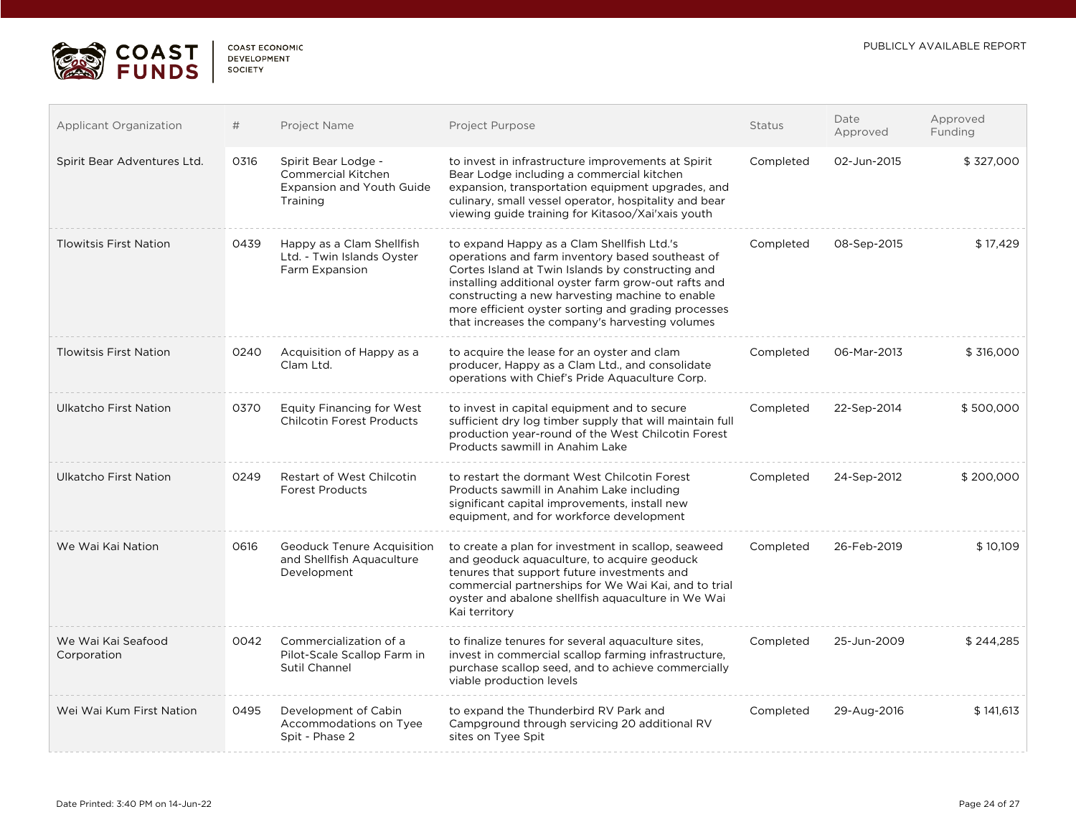

 $\Box$ 

| <b>COAST ECONOMIC</b> |
|-----------------------|
| <b>DEVELOPMENT</b>    |
| SOCIETY               |

| <b>Applicant Organization</b>     | #    | Project Name                                                                                     | Project Purpose                                                                                                                                                                                                                                                                                                                                                          | <b>Status</b> | Date<br>Approved | Approved<br>Funding |
|-----------------------------------|------|--------------------------------------------------------------------------------------------------|--------------------------------------------------------------------------------------------------------------------------------------------------------------------------------------------------------------------------------------------------------------------------------------------------------------------------------------------------------------------------|---------------|------------------|---------------------|
| Spirit Bear Adventures Ltd.       | 0316 | Spirit Bear Lodge -<br><b>Commercial Kitchen</b><br><b>Expansion and Youth Guide</b><br>Training | to invest in infrastructure improvements at Spirit<br>Bear Lodge including a commercial kitchen<br>expansion, transportation equipment upgrades, and<br>culinary, small vessel operator, hospitality and bear<br>viewing guide training for Kitasoo/Xai'xais youth                                                                                                       | Completed     | 02-Jun-2015      | \$327,000           |
| <b>Tlowitsis First Nation</b>     | 0439 | Happy as a Clam Shellfish<br>Ltd. - Twin Islands Oyster<br>Farm Expansion                        | to expand Happy as a Clam Shellfish Ltd.'s<br>operations and farm inventory based southeast of<br>Cortes Island at Twin Islands by constructing and<br>installing additional oyster farm grow-out rafts and<br>constructing a new harvesting machine to enable<br>more efficient oyster sorting and grading processes<br>that increases the company's harvesting volumes | Completed     | 08-Sep-2015      | \$17,429            |
| <b>Tlowitsis First Nation</b>     | 0240 | Acquisition of Happy as a<br>Clam Ltd.                                                           | to acquire the lease for an oyster and clam<br>producer, Happy as a Clam Ltd., and consolidate<br>operations with Chief's Pride Aquaculture Corp.                                                                                                                                                                                                                        | Completed     | 06-Mar-2013      | \$316,000           |
| Ulkatcho First Nation             | 0370 | <b>Equity Financing for West</b><br><b>Chilcotin Forest Products</b>                             | to invest in capital equipment and to secure<br>sufficient dry log timber supply that will maintain full<br>production year-round of the West Chilcotin Forest<br>Products sawmill in Anahim Lake                                                                                                                                                                        | Completed     | 22-Sep-2014      | \$500,000           |
| Ulkatcho First Nation             | 0249 | <b>Restart of West Chilcotin</b><br><b>Forest Products</b>                                       | to restart the dormant West Chilcotin Forest<br>Products sawmill in Anahim Lake including<br>significant capital improvements, install new<br>equipment, and for workforce development                                                                                                                                                                                   | Completed     | 24-Sep-2012      | \$200,000           |
| We Wai Kai Nation                 | 0616 | <b>Geoduck Tenure Acquisition</b><br>and Shellfish Aquaculture<br>Development                    | to create a plan for investment in scallop, seaweed<br>and geoduck aguaculture, to acquire geoduck<br>tenures that support future investments and<br>commercial partnerships for We Wai Kai, and to trial<br>oyster and abalone shellfish aquaculture in We Wai<br>Kai territory                                                                                         | Completed     | 26-Feb-2019      | \$10,109            |
| We Wai Kai Seafood<br>Corporation | 0042 | Commercialization of a<br>Pilot-Scale Scallop Farm in<br>Sutil Channel                           | to finalize tenures for several aquaculture sites,<br>invest in commercial scallop farming infrastructure,<br>purchase scallop seed, and to achieve commercially<br>viable production levels                                                                                                                                                                             | Completed     | 25-Jun-2009      | \$244,285           |
| Wei Wai Kum First Nation          | 0495 | Development of Cabin<br>Accommodations on Tyee<br>Spit - Phase 2                                 | to expand the Thunderbird RV Park and<br>Campground through servicing 20 additional RV<br>sites on Tyee Spit                                                                                                                                                                                                                                                             | Completed     | 29-Aug-2016      | \$141,613           |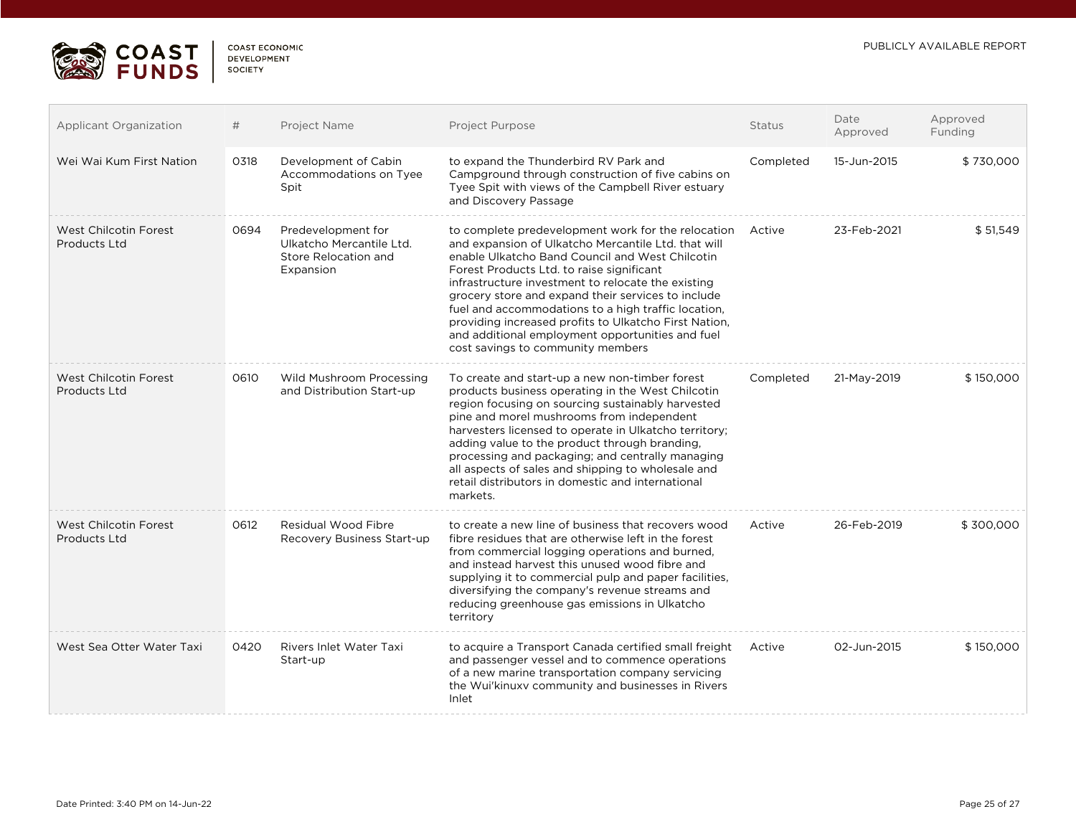

 $\Box$ 

. . . . .

| <b>Applicant Organization</b>                | #    | Project Name                                                                        | Project Purpose                                                                                                                                                                                                                                                                                                                                                                                                                                                                                                                | <b>Status</b> | Date<br>Approved | Approved<br>Funding |
|----------------------------------------------|------|-------------------------------------------------------------------------------------|--------------------------------------------------------------------------------------------------------------------------------------------------------------------------------------------------------------------------------------------------------------------------------------------------------------------------------------------------------------------------------------------------------------------------------------------------------------------------------------------------------------------------------|---------------|------------------|---------------------|
| Wei Wai Kum First Nation                     | 0318 | Development of Cabin<br>Accommodations on Tyee<br>Spit                              | to expand the Thunderbird RV Park and<br>Campground through construction of five cabins on<br>Tyee Spit with views of the Campbell River estuary<br>and Discovery Passage                                                                                                                                                                                                                                                                                                                                                      | Completed     | 15-Jun-2015      | \$730,000           |
| West Chilcotin Forest<br>Products Ltd        | 0694 | Predevelopment for<br>Ulkatcho Mercantile Ltd.<br>Store Relocation and<br>Expansion | to complete predevelopment work for the relocation<br>and expansion of Ulkatcho Mercantile Ltd. that will<br>enable Ulkatcho Band Council and West Chilcotin<br>Forest Products Ltd. to raise significant<br>infrastructure investment to relocate the existing<br>grocery store and expand their services to include<br>fuel and accommodations to a high traffic location,<br>providing increased profits to Ulkatcho First Nation,<br>and additional employment opportunities and fuel<br>cost savings to community members | Active        | 23-Feb-2021      | \$51,549            |
| West Chilcotin Forest<br><b>Products Ltd</b> | 0610 | Wild Mushroom Processing<br>and Distribution Start-up                               | To create and start-up a new non-timber forest<br>products business operating in the West Chilcotin<br>region focusing on sourcing sustainably harvested<br>pine and morel mushrooms from independent<br>harvesters licensed to operate in Ulkatcho territory;<br>adding value to the product through branding,<br>processing and packaging; and centrally managing<br>all aspects of sales and shipping to wholesale and<br>retail distributors in domestic and international<br>markets.                                     | Completed     | 21-May-2019      | \$150,000           |
| West Chilcotin Forest<br>Products Ltd        | 0612 | Residual Wood Fibre<br>Recovery Business Start-up                                   | to create a new line of business that recovers wood<br>fibre residues that are otherwise left in the forest<br>from commercial logging operations and burned,<br>and instead harvest this unused wood fibre and<br>supplying it to commercial pulp and paper facilities,<br>diversifying the company's revenue streams and<br>reducing greenhouse gas emissions in Ulkatcho<br>territory                                                                                                                                       | Active        | 26-Feb-2019      | \$300,000           |
| West Sea Otter Water Taxi                    | 0420 | Rivers Inlet Water Taxi<br>Start-up                                                 | to acquire a Transport Canada certified small freight<br>and passenger vessel and to commence operations<br>of a new marine transportation company servicing<br>the Wui'kinuxy community and businesses in Rivers<br>Inlet                                                                                                                                                                                                                                                                                                     | Active        | 02-Jun-2015      | \$150,000           |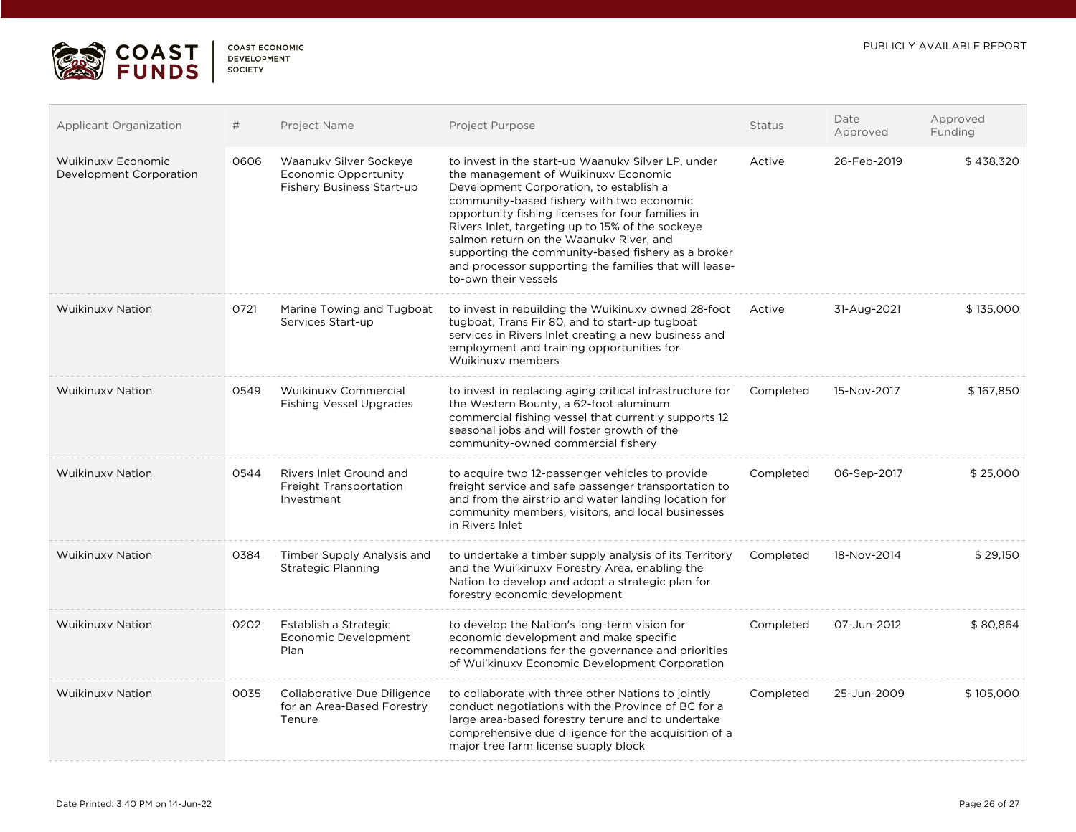

 $\Box$ 

| <b>COAST ECONOMIC</b> |
|-----------------------|
| <b>DEVELOPMENT</b>    |
| <b>SOCIETY</b>        |
|                       |

| <b>Applicant Organization</b>                        | #    | Project Name                                                                | <b>Project Purpose</b>                                                                                                                                                                                                                                                                                                                                                                                                                                                         | <b>Status</b> | Date<br>Approved | Approved<br>Funding |
|------------------------------------------------------|------|-----------------------------------------------------------------------------|--------------------------------------------------------------------------------------------------------------------------------------------------------------------------------------------------------------------------------------------------------------------------------------------------------------------------------------------------------------------------------------------------------------------------------------------------------------------------------|---------------|------------------|---------------------|
| <b>Wuikinuxy Economic</b><br>Development Corporation | 0606 | Waanukv Silver Sockeye<br>Economic Opportunity<br>Fishery Business Start-up | to invest in the start-up Waanuky Silver LP, under<br>the management of Wuikinuxy Economic<br>Development Corporation, to establish a<br>community-based fishery with two economic<br>opportunity fishing licenses for four families in<br>Rivers Inlet, targeting up to 15% of the sockeye<br>salmon return on the Waanukv River, and<br>supporting the community-based fishery as a broker<br>and processor supporting the families that will lease-<br>to-own their vessels | Active        | 26-Feb-2019      | \$438,320           |
| <b>Wuikinuxy Nation</b>                              | 0721 | Marine Towing and Tugboat<br>Services Start-up                              | to invest in rebuilding the Wuikinuxy owned 28-foot<br>tugboat, Trans Fir 80, and to start-up tugboat<br>services in Rivers Inlet creating a new business and<br>employment and training opportunities for<br>Wuikinuxy members                                                                                                                                                                                                                                                | Active        | 31-Aug-2021      | \$135,000           |
| <b>Wuikinuxy Nation</b>                              | 0549 | Wuikinuxy Commercial<br><b>Fishing Vessel Upgrades</b>                      | to invest in replacing aging critical infrastructure for<br>the Western Bounty, a 62-foot aluminum<br>commercial fishing vessel that currently supports 12<br>seasonal jobs and will foster growth of the<br>community-owned commercial fishery                                                                                                                                                                                                                                | Completed     | 15-Nov-2017      | \$167,850           |
| <b>Wuikinuxy Nation</b>                              | 0544 | Rivers Inlet Ground and<br>Freight Transportation<br>Investment             | to acquire two 12-passenger vehicles to provide<br>freight service and safe passenger transportation to<br>and from the airstrip and water landing location for<br>community members, visitors, and local businesses<br>in Rivers Inlet                                                                                                                                                                                                                                        | Completed     | 06-Sep-2017      | \$25,000            |
| <b>Wuikinuxy Nation</b>                              | 0384 | Timber Supply Analysis and<br><b>Strategic Planning</b>                     | to undertake a timber supply analysis of its Territory<br>and the Wui'kinuxv Forestry Area, enabling the<br>Nation to develop and adopt a strategic plan for<br>forestry economic development                                                                                                                                                                                                                                                                                  | Completed     | 18-Nov-2014      | \$29,150            |
| <b>Wuikinuxy Nation</b>                              | 0202 | Establish a Strategic<br>Economic Development<br>Plan                       | to develop the Nation's long-term vision for<br>economic development and make specific<br>recommendations for the governance and priorities<br>of Wui'kinuxy Economic Development Corporation                                                                                                                                                                                                                                                                                  | Completed     | 07-Jun-2012      | \$80,864            |
| <b>Wuikinuxy Nation</b>                              | 0035 | Collaborative Due Diligence<br>for an Area-Based Forestry<br>Tenure         | to collaborate with three other Nations to jointly<br>conduct negotiations with the Province of BC for a<br>large area-based forestry tenure and to undertake<br>comprehensive due diligence for the acquisition of a<br>major tree farm license supply block                                                                                                                                                                                                                  | Completed     | 25-Jun-2009      | \$105,000           |